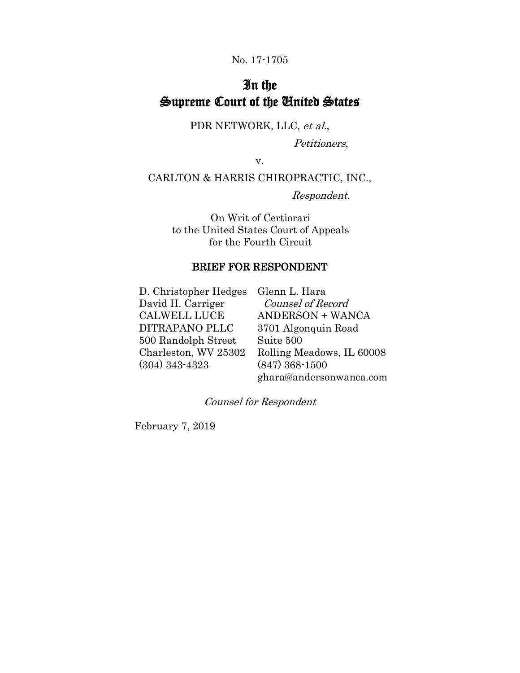### No. 17-1705

## In the Supreme Court of the United States

PDR NETWORK, LLC, et al.,

Petitioners,

v.

CARLTON & HARRIS CHIROPRACTIC, INC.,

Respondent.

On Writ of Certiorari to the United States Court of Appeals for the Fourth Circuit

### BRIEF FOR RESPONDENT

D. Christopher Hedges Glenn L. Hara David H. Carriger CALWELL LUCE DITRAPANO PLLC 500 Randolph Street Charleston, WV 25302 (304) 343-4323

 Counsel of Record ANDERSON + WANCA 3701 Algonquin Road Suite 500 Rolling Meadows, IL 60008 (847) 368-1500 ghara@andersonwanca.com

Counsel for Respondent

February 7, 2019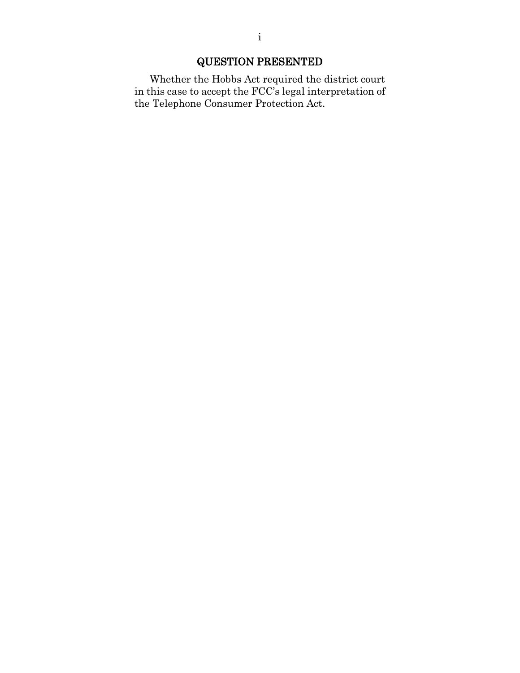## QUESTION PRESENTED

Whether the Hobbs Act required the district court in this case to accept the FCC's legal interpretation of the Telephone Consumer Protection Act.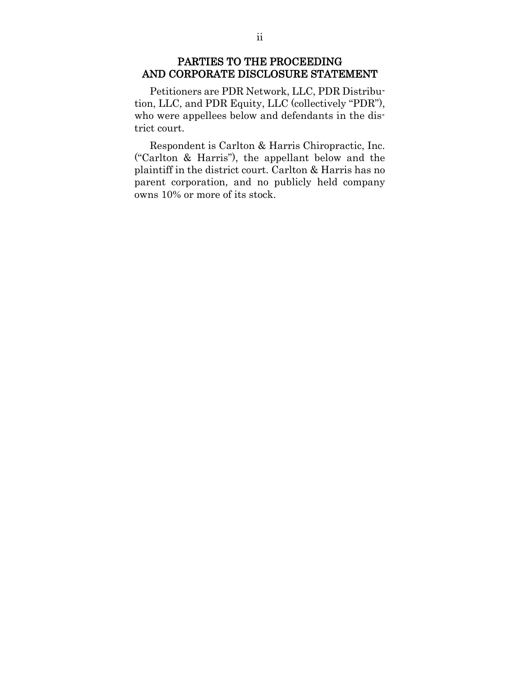### PARTIES TO THE PROCEEDING AND CORPORATE DISCLOSURE STATEMENT

Petitioners are PDR Network, LLC, PDR Distribution, LLC, and PDR Equity, LLC (collectively "PDR"), who were appellees below and defendants in the district court.

Respondent is Carlton & Harris Chiropractic, Inc. ("Carlton & Harris"), the appellant below and the plaintiff in the district court. Carlton & Harris has no parent corporation, and no publicly held company owns 10% or more of its stock.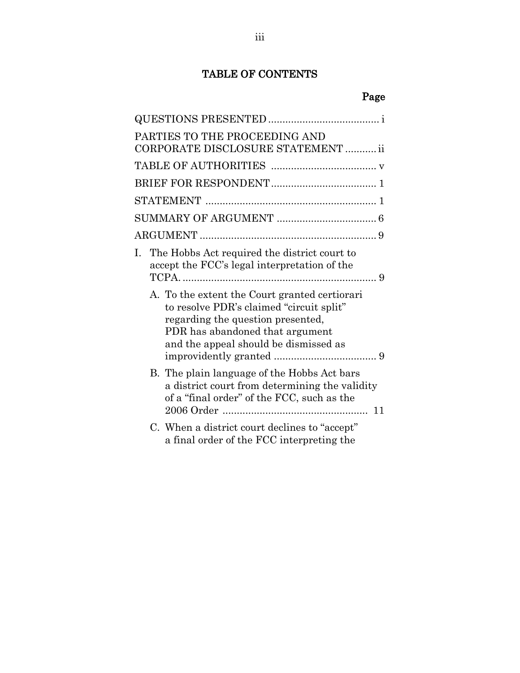## TABLE OF CONTENTS

| u.<br>o m<br>u |  |
|----------------|--|
|                |  |
|                |  |

| Page                                                                                                                                                                                                       |
|------------------------------------------------------------------------------------------------------------------------------------------------------------------------------------------------------------|
|                                                                                                                                                                                                            |
| PARTIES TO THE PROCEEDING AND<br>CORPORATE DISCLOSURE STATEMENT  ii                                                                                                                                        |
|                                                                                                                                                                                                            |
|                                                                                                                                                                                                            |
|                                                                                                                                                                                                            |
|                                                                                                                                                                                                            |
|                                                                                                                                                                                                            |
| I. The Hobbs Act required the district court to<br>accept the FCC's legal interpretation of the                                                                                                            |
| A. To the extent the Court granted certiorari<br>to resolve PDR's claimed "circuit split"<br>regarding the question presented,<br>PDR has abandoned that argument<br>and the appeal should be dismissed as |
| B. The plain language of the Hobbs Act bars<br>a district court from determining the validity<br>of a "final order" of the FCC, such as the                                                                |
| C. When a district court declines to "accept"<br>a final order of the FCC interpreting the                                                                                                                 |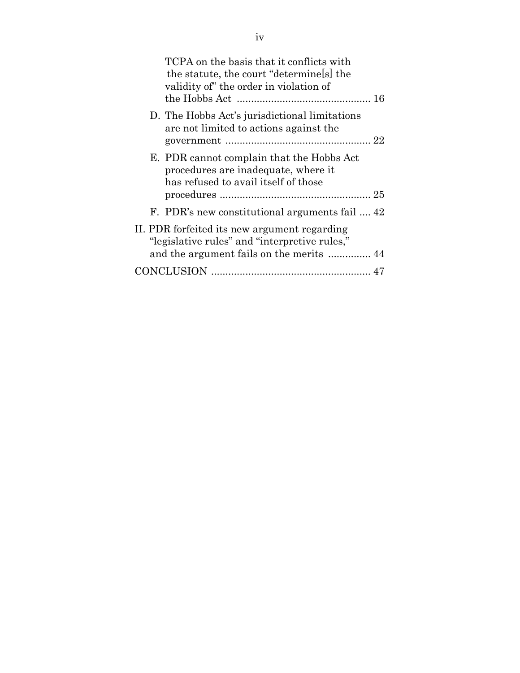| TCPA on the basis that it conflicts with<br>the statute, the court "determines" the<br>validity of" the order in violation of |
|-------------------------------------------------------------------------------------------------------------------------------|
| D. The Hobbs Act's jurisdictional limitations<br>are not limited to actions against the                                       |
| E. PDR cannot complain that the Hobbs Act<br>procedures are inadequate, where it<br>has refused to avail itself of those      |
| F. PDR's new constitutional arguments fail  42                                                                                |
| II. PDR forfeited its new argument regarding<br>"legislative rules" and "interpretive rules,"                                 |
|                                                                                                                               |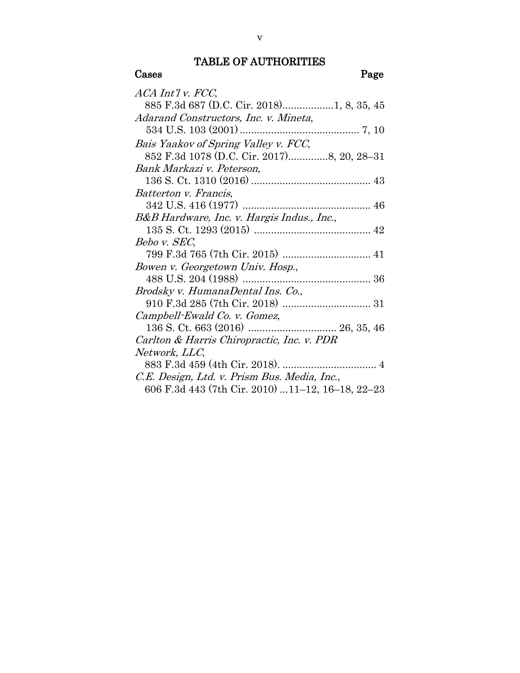#### TABLE OF AUTHORITIES

## Cases Page ACA Int'l v. FCC, 885 F.3d 687 (D.C. Cir. 2018)..................1, 8, 35, 45 Adarand Constructors, Inc. v. Mineta, 534 U.S. 103 (2001).......................................... 7, 10 Bais Yaakov of Spring Valley v. FCC, 852 F.3d 1078 (D.C. Cir. 2017)..............8, 20, 28–31 Bank Markazi v. Peterson, 136 S. Ct. 1310 (2016) .......................................... 43 Batterton v. Francis, 342 U.S. 416 (1977) ............................................. 46 B&B Hardware, Inc. v. Hargis Indus., Inc., 135 S. Ct. 1293 (2015) ......................................... 42 Bebo v. SEC, 799 F.3d 765 (7th Cir. 2015) ............................... 41 Bowen v. Georgetown Univ. Hosp., 488 U.S. 204 (1988) ............................................. 36 Brodsky v. HumanaDental Ins. Co., 910 F.3d 285 (7th Cir. 2018) ............................... 31 Campbell-Ewald Co. v. Gomez, 136 S. Ct. 663 (2016) ............................... 26, 35, 46 Carlton & Harris Chiropractic, Inc. v. PDR Network, LLC, 883 F.3d 459 (4th Cir. 2018). ................................. 4 C.E. Design, Ltd. v. Prism Bus. Media, Inc., 606 F.3d 443 (7th Cir. 2010) ...11–12, 16–18, 22–23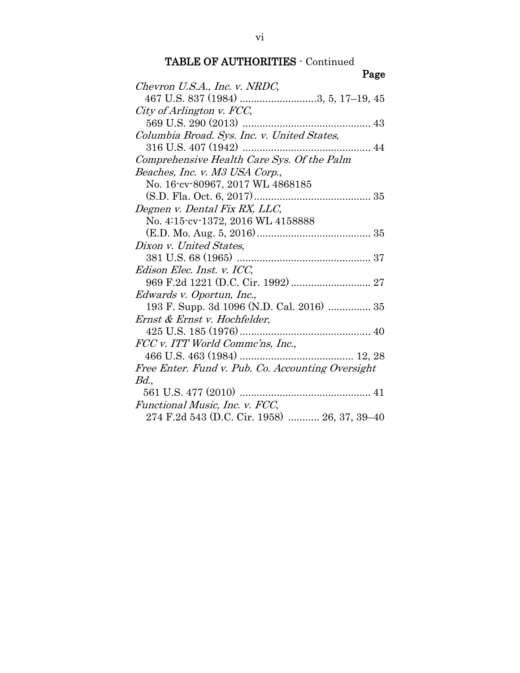| Page                                              |
|---------------------------------------------------|
| Chevron U.S.A., Inc. v. NRDC,                     |
| 467 U.S. 837 (1984) 3, 5, 17-19, 45               |
| City of Arlington v. FCC,                         |
|                                                   |
| Columbia Broad. Sys. Inc. v. United States,       |
|                                                   |
| Comprehensive Health Care Sys. Of the Palm        |
| Beaches, Inc. v. M3 USA Corp.,                    |
| No. 16-cv-80967, 2017 WL 4868185                  |
|                                                   |
| Degnen v. Dental Fix RX, LLC,                     |
| No. 4:15-cv-1372, 2016 WL 4158888                 |
|                                                   |
| Dixon v. United States,                           |
|                                                   |
| Edison Elec. Inst. v. ICC,                        |
|                                                   |
| Edwards v. Oportun, Inc.,                         |
| 193 F. Supp. 3d 1096 (N.D. Cal. 2016)  35         |
| Ernst & Ernst v. Hochfelder,                      |
|                                                   |
| FCC v. ITT World Comme'ns, Inc.,                  |
|                                                   |
| Free Enter. Fund v. Pub. Co. Accounting Oversight |
| Bd.                                               |
|                                                   |
| Functional Music, Inc. v. FCC,                    |
| 274 F.2d 543 (D.C. Cir. 1958)  26, 37, 39-40      |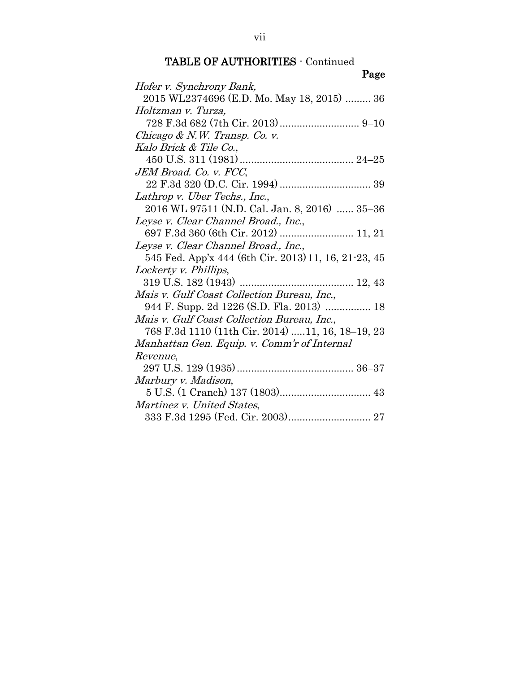|--|

| r asc                                                |
|------------------------------------------------------|
| Hofer v. Synchrony Bank,                             |
| 2015 WL2374696 (E.D. Mo. May 18, 2015)  36           |
| Holtzman v. Turza,                                   |
|                                                      |
| Chicago & N.W. Transp. Co. v.                        |
| Kalo Brick & Tile Co.,                               |
|                                                      |
| JEM Broad. Co. v. FCC,                               |
|                                                      |
| Lathrop v. Uber Techs., Inc.,                        |
| 2016 WL 97511 (N.D. Cal. Jan. 8, 2016)  35–36        |
| Leyse v. Clear Channel Broad., Inc.,                 |
| 697 F.3d 360 (6th Cir. 2012)  11, 21                 |
| Leyse v. Clear Channel Broad., Inc.,                 |
| 545 Fed. App'x 444 (6th Cir. 2013) 11, 16, 21-23, 45 |
| Lockerty v. Phillips,                                |
|                                                      |
| Mais v. Gulf Coast Collection Bureau, Inc.,          |
| 944 F. Supp. 2d 1226 (S.D. Fla. 2013)  18            |
| Mais v. Gulf Coast Collection Bureau, Inc.,          |
| 768 F.3d 1110 (11th Cir. 2014) 11, 16, 18-19, 23     |
| Manhattan Gen. Equip. v. Comm'r of Internal          |
| Revenue,                                             |
|                                                      |
| Marbury v. Madison,                                  |
|                                                      |
| Martinez v. United States,                           |
|                                                      |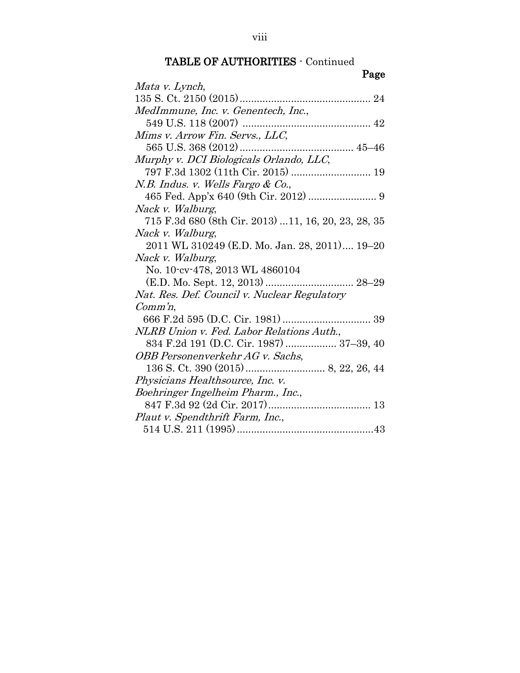|--|

| Mata v. Lynch,                                      |
|-----------------------------------------------------|
|                                                     |
| MedImmune, Inc. v. Genentech, Inc.,                 |
|                                                     |
| Mims v. Arrow Fin. Servs., LLC,                     |
|                                                     |
| Murphy v. DCI Biologicals Orlando, LLC,             |
|                                                     |
| N.B. Indus. v. Wells Fargo & Co.,                   |
|                                                     |
| Nack v. Walburg,                                    |
| 715 F.3d 680 (8th Cir. 2013) 11, 16, 20, 23, 28, 35 |
| Nack v. Walburg,                                    |
| 2011 WL 310249 (E.D. Mo. Jan. 28, 2011) 19–20       |
| Nack v. Walburg,                                    |
| No. 10-cv-478, 2013 WL 4860104                      |
| (E.D. Mo. Sept. 12, 2013)  28-29                    |
| Nat. Res. Def. Council v. Nuclear Regulatory        |
| $Comm'n$ ,                                          |
|                                                     |
| NLRB Union v. Fed. Labor Relations Auth.,           |
| 834 F.2d 191 (D.C. Cir. 1987)  37–39, 40            |
| OBB Personenverkehr AG v. Sachs,                    |
|                                                     |
| Physicians Healthsource, Inc. v.                    |
| Boehringer Ingelheim Pharm., Inc.,                  |
|                                                     |
| Plaut v. Spendthrift Farm, Inc.,                    |
|                                                     |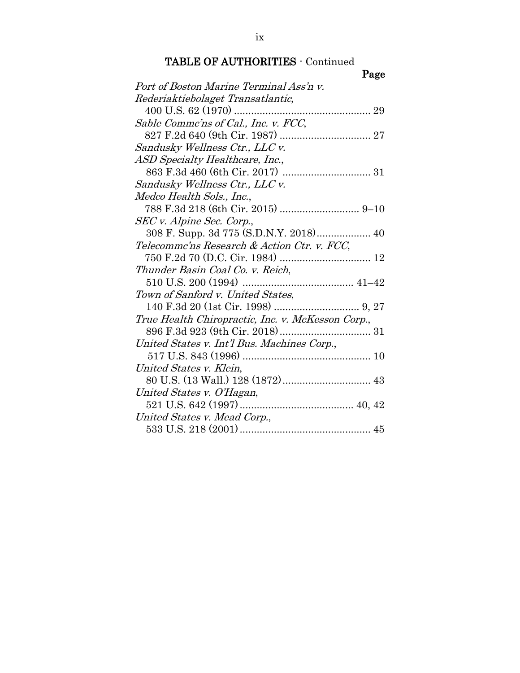| Page                                              |
|---------------------------------------------------|
| Port of Boston Marine Terminal Ass'n v.           |
| Rederiaktiebolaget Transatlantic,                 |
|                                                   |
| Sable Commc'ns of Cal., Inc. v. FCC,              |
|                                                   |
| Sandusky Wellness Ctr., LLC v.                    |
| ASD Specialty Healthcare, Inc.,                   |
|                                                   |
| Sandusky Wellness Ctr., LLC v.                    |
| Medco Health Sols., Inc.,                         |
|                                                   |
| SEC v. Alpine Sec. Corp.,                         |
| 308 F. Supp. 3d 775 (S.D.N.Y. 2018) 40            |
| Telecommc'ns Research & Action Ctr. v. FCC,       |
|                                                   |
| Thunder Basin Coal Co. v. Reich,                  |
|                                                   |
| Town of Sanford v. United States,                 |
|                                                   |
| True Health Chiropractic, Inc. v. McKesson Corp., |
|                                                   |
| United States v. Int'l Bus. Machines Corp.,       |
|                                                   |
| United States v. Klein,                           |
|                                                   |
| United States v. O'Hagan,                         |
|                                                   |
| United States v. Mead Corp.,                      |
|                                                   |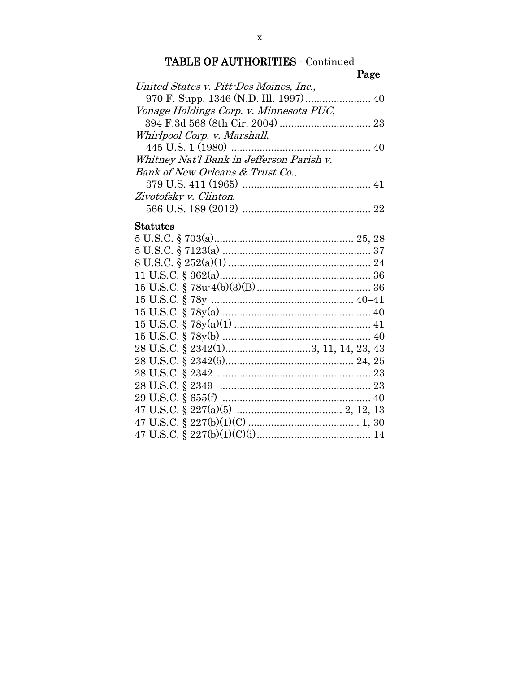## Page

## **Statutes**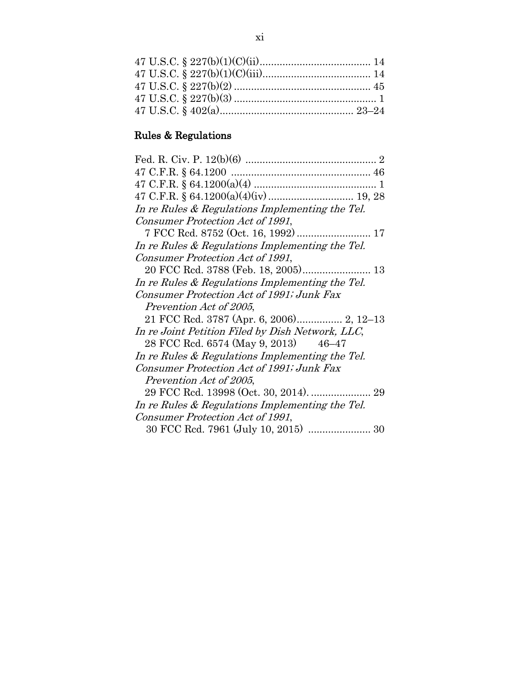# Rules & Regulations

| In re Rules & Regulations Implementing the Tel.  |
|--------------------------------------------------|
| Consumer Protection Act of 1991,                 |
|                                                  |
| In re Rules & Regulations Implementing the Tel.  |
| Consumer Protection Act of 1991,                 |
|                                                  |
| In re Rules & Regulations Implementing the Tel.  |
| Consumer Protection Act of 1991; Junk Fax        |
| Prevention Act of 2005,                          |
|                                                  |
| In re Joint Petition Filed by Dish Network, LLC, |
| 28 FCC Rcd. 6574 (May 9, 2013) 46–47             |
| In re Rules & Regulations Implementing the Tel.  |
| Consumer Protection Act of 1991; Junk Fax        |
| Prevention Act of 2005,                          |
|                                                  |
| In re Rules & Regulations Implementing the Tel.  |
| Consumer Protection Act of 1991,                 |
| 30 FCC Rcd. 7961 (July 10, 2015)  30             |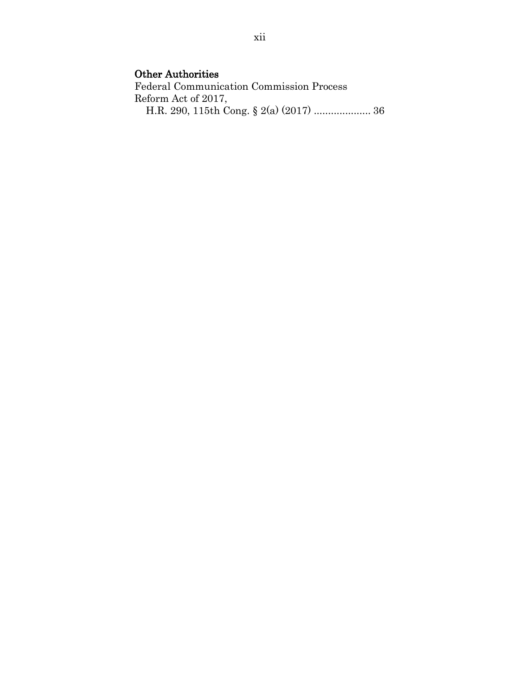## Other Authorities

Federal Communication Commission Process Reform Act of 2017, H.R. 290, 115th Cong. § 2(a) (2017) .................... 36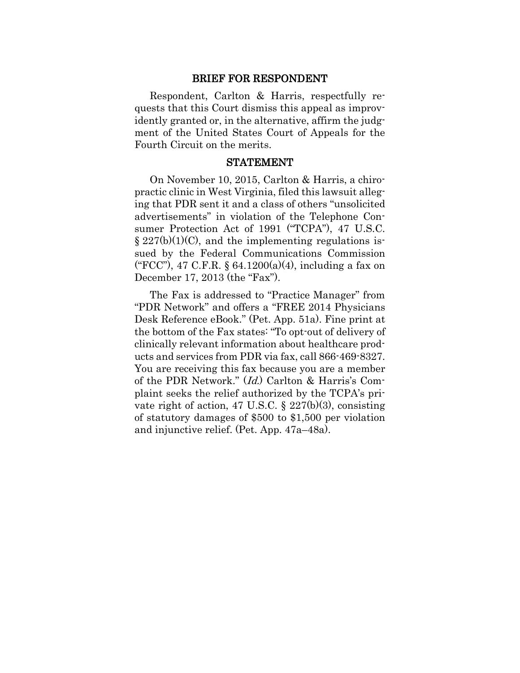#### BRIEF FOR RESPONDENT

Respondent, Carlton & Harris, respectfully requests that this Court dismiss this appeal as improvidently granted or, in the alternative, affirm the judgment of the United States Court of Appeals for the Fourth Circuit on the merits.

#### STATEMENT

On November 10, 2015, Carlton & Harris, a chiropractic clinic in West Virginia, filed this lawsuit alleging that PDR sent it and a class of others "unsolicited advertisements" in violation of the Telephone Consumer Protection Act of 1991 ("TCPA"), 47 U.S.C.  $\S 227(b)(1)(C)$ , and the implementing regulations issued by the Federal Communications Commission ("FCC"), 47 C.F.R. § 64.1200(a)(4), including a fax on December 17, 2013 (the "Fax").

The Fax is addressed to "Practice Manager" from "PDR Network" and offers a "FREE 2014 Physicians Desk Reference eBook." (Pet. App. 51a). Fine print at the bottom of the Fax states: "To opt-out of delivery of clinically relevant information about healthcare products and services from PDR via fax, call 866-469-8327. You are receiving this fax because you are a member of the PDR Network." (Id.) Carlton & Harris's Complaint seeks the relief authorized by the TCPA's private right of action, 47 U.S.C. § 227(b)(3), consisting of statutory damages of \$500 to \$1,500 per violation and injunctive relief. (Pet. App. 47a–48a).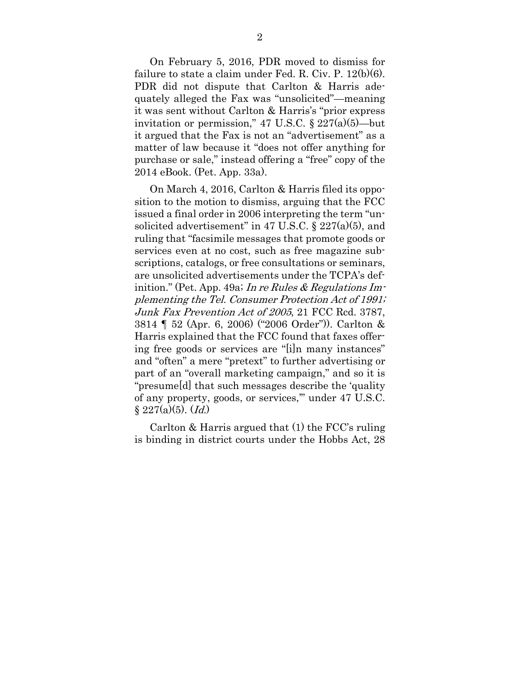On February 5, 2016, PDR moved to dismiss for failure to state a claim under Fed. R. Civ. P. 12(b)(6). PDR did not dispute that Carlton & Harris adequately alleged the Fax was "unsolicited"—meaning it was sent without Carlton & Harris's "prior express invitation or permission," 47 U.S.C.  $\S 227(a)(5)$ —but it argued that the Fax is not an "advertisement" as a matter of law because it "does not offer anything for purchase or sale," instead offering a "free" copy of the 2014 eBook. (Pet. App. 33a).

On March 4, 2016, Carlton & Harris filed its opposition to the motion to dismiss, arguing that the FCC issued a final order in 2006 interpreting the term "unsolicited advertisement" in 47 U.S.C.  $\S 227(a)(5)$ , and ruling that "facsimile messages that promote goods or services even at no cost, such as free magazine subscriptions, catalogs, or free consultations or seminars, are unsolicited advertisements under the TCPA's definition." (Pet. App. 49a; In re Rules & Regulations Implementing the Tel. Consumer Protection Act of 1991; Junk Fax Prevention Act of 2005, 21 FCC Rcd. 3787, 3814 ¶ 52 (Apr. 6, 2006) ("2006 Order")). Carlton & Harris explained that the FCC found that faxes offering free goods or services are "[i]n many instances" and "often" a mere "pretext" to further advertising or part of an "overall marketing campaign," and so it is "presume[d] that such messages describe the 'quality of any property, goods, or services,'" under 47 U.S.C.  $§ 227(a)(5)$ . (*Id.*)

Carlton & Harris argued that (1) the FCC's ruling is binding in district courts under the Hobbs Act, 28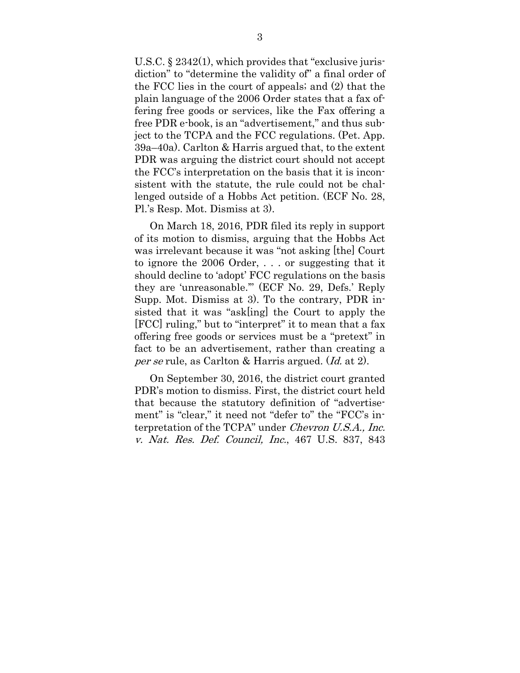U.S.C. § 2342(1), which provides that "exclusive jurisdiction" to "determine the validity of" a final order of the FCC lies in the court of appeals; and (2) that the plain language of the 2006 Order states that a fax offering free goods or services, like the Fax offering a free PDR e-book, is an "advertisement," and thus subject to the TCPA and the FCC regulations. (Pet. App. 39a–40a). Carlton & Harris argued that, to the extent PDR was arguing the district court should not accept the FCC's interpretation on the basis that it is inconsistent with the statute, the rule could not be challenged outside of a Hobbs Act petition. (ECF No. 28, Pl.'s Resp. Mot. Dismiss at 3).

On March 18, 2016, PDR filed its reply in support of its motion to dismiss, arguing that the Hobbs Act was irrelevant because it was "not asking [the] Court to ignore the 2006 Order, . . . or suggesting that it should decline to 'adopt' FCC regulations on the basis they are 'unreasonable.'" (ECF No. 29, Defs.' Reply Supp. Mot. Dismiss at 3). To the contrary, PDR insisted that it was "ask[ing] the Court to apply the [FCC] ruling," but to "interpret" it to mean that a fax offering free goods or services must be a "pretext" in fact to be an advertisement, rather than creating a per se rule, as Carlton & Harris argued. (Id. at 2).

On September 30, 2016, the district court granted PDR's motion to dismiss. First, the district court held that because the statutory definition of "advertisement" is "clear," it need not "defer to" the "FCC's interpretation of the TCPA" under Chevron U.S.A., Inc. v. Nat. Res. Def. Council, Inc., 467 U.S. 837, 843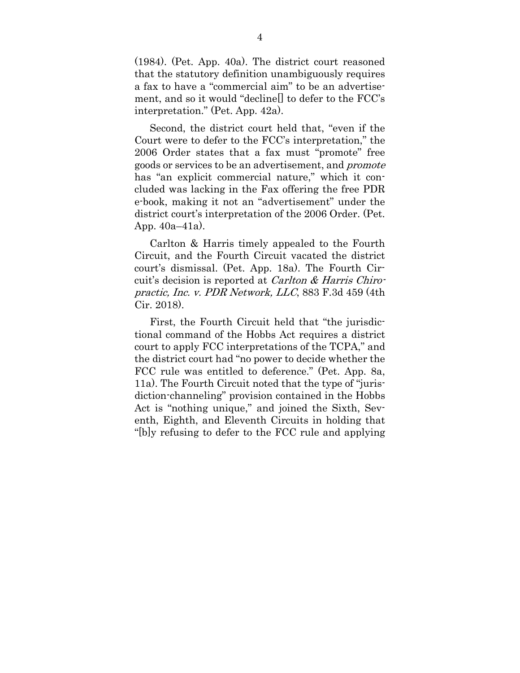(1984). (Pet. App. 40a). The district court reasoned that the statutory definition unambiguously requires a fax to have a "commercial aim" to be an advertisement, and so it would "decline[] to defer to the FCC's interpretation." (Pet. App. 42a).

Second, the district court held that, "even if the Court were to defer to the FCC's interpretation," the 2006 Order states that a fax must "promote" free goods or services to be an advertisement, and promote has "an explicit commercial nature," which it concluded was lacking in the Fax offering the free PDR e-book, making it not an "advertisement" under the district court's interpretation of the 2006 Order. (Pet. App. 40a–41a).

Carlton & Harris timely appealed to the Fourth Circuit, and the Fourth Circuit vacated the district court's dismissal. (Pet. App. 18a). The Fourth Circuit's decision is reported at Carlton & Harris Chiropractic, Inc. v. PDR Network, LLC, 883 F.3d 459 (4th Cir. 2018).

First, the Fourth Circuit held that "the jurisdictional command of the Hobbs Act requires a district court to apply FCC interpretations of the TCPA," and the district court had "no power to decide whether the FCC rule was entitled to deference." (Pet. App. 8a, 11a). The Fourth Circuit noted that the type of "jurisdiction-channeling" provision contained in the Hobbs Act is "nothing unique," and joined the Sixth, Seventh, Eighth, and Eleventh Circuits in holding that "[b]y refusing to defer to the FCC rule and applying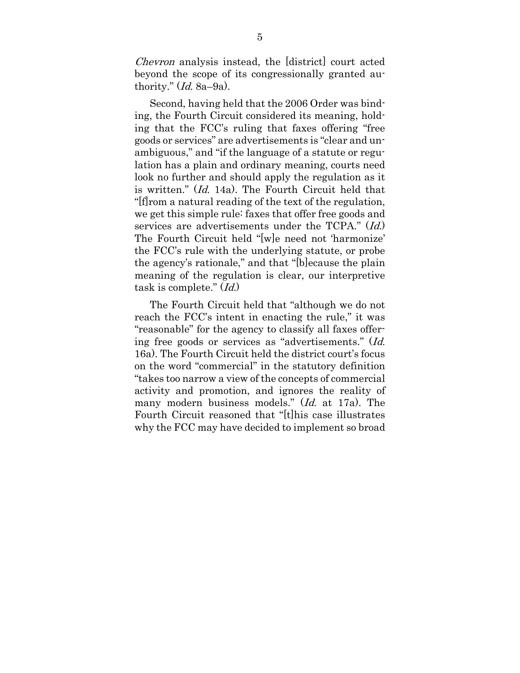Chevron analysis instead, the [district] court acted beyond the scope of its congressionally granted authority."  $(Id. 8a-9a)$ .

Second, having held that the 2006 Order was binding, the Fourth Circuit considered its meaning, holding that the FCC's ruling that faxes offering "free goods or services" are advertisements is "clear and unambiguous," and "if the language of a statute or regulation has a plain and ordinary meaning, courts need look no further and should apply the regulation as it is written." (Id. 14a). The Fourth Circuit held that "[f]rom a natural reading of the text of the regulation, we get this simple rule: faxes that offer free goods and services are advertisements under the TCPA." (Id.) The Fourth Circuit held "[w]e need not 'harmonize' the FCC's rule with the underlying statute, or probe the agency's rationale," and that "[b]ecause the plain meaning of the regulation is clear, our interpretive task is complete." (Id.)

The Fourth Circuit held that "although we do not reach the FCC's intent in enacting the rule," it was "reasonable" for the agency to classify all faxes offering free goods or services as "advertisements." (Id. 16a). The Fourth Circuit held the district court's focus on the word "commercial" in the statutory definition "takes too narrow a view of the concepts of commercial activity and promotion, and ignores the reality of many modern business models." (Id. at 17a). The Fourth Circuit reasoned that "[t]his case illustrates why the FCC may have decided to implement so broad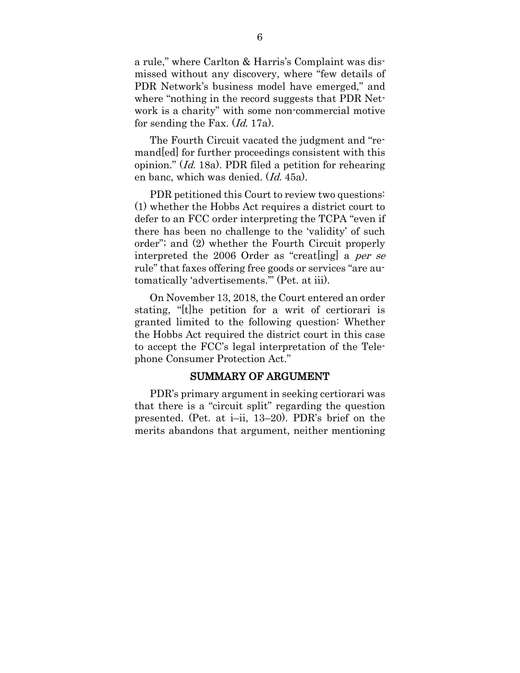a rule," where Carlton & Harris's Complaint was dismissed without any discovery, where "few details of PDR Network's business model have emerged," and where "nothing in the record suggests that PDR Network is a charity" with some non-commercial motive for sending the Fax. (Id. 17a).

The Fourth Circuit vacated the judgment and "remand[ed] for further proceedings consistent with this opinion." (Id. 18a). PDR filed a petition for rehearing en banc, which was denied. (Id. 45a).

PDR petitioned this Court to review two questions: (1) whether the Hobbs Act requires a district court to defer to an FCC order interpreting the TCPA "even if there has been no challenge to the 'validity' of such order"; and (2) whether the Fourth Circuit properly interpreted the 2006 Order as "creat[ing] a per se rule" that faxes offering free goods or services "are automatically 'advertisements.'" (Pet. at iii).

On November 13, 2018, the Court entered an order stating, "[t]he petition for a writ of certiorari is granted limited to the following question: Whether the Hobbs Act required the district court in this case to accept the FCC's legal interpretation of the Telephone Consumer Protection Act."

### SUMMARY OF ARGUMENT

PDR's primary argument in seeking certiorari was that there is a "circuit split" regarding the question presented. (Pet. at i–ii, 13–20). PDR's brief on the merits abandons that argument, neither mentioning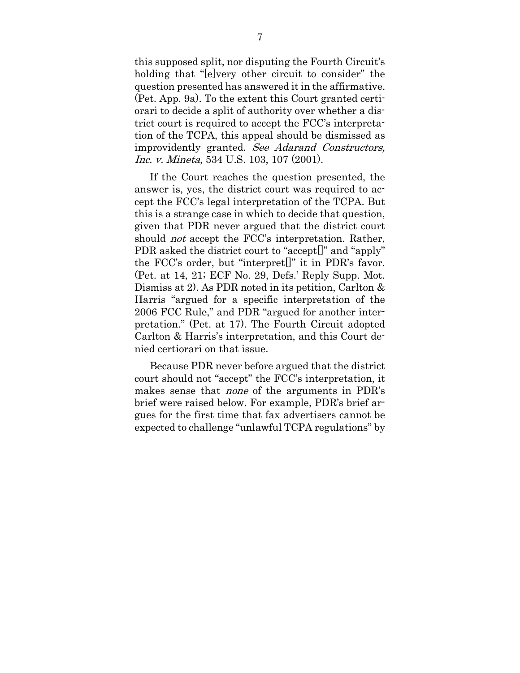this supposed split, nor disputing the Fourth Circuit's holding that "[e]very other circuit to consider" the question presented has answered it in the affirmative. (Pet. App. 9a). To the extent this Court granted certiorari to decide a split of authority over whether a district court is required to accept the FCC's interpretation of the TCPA, this appeal should be dismissed as improvidently granted. See Adarand Constructors, Inc. v. Mineta, 534 U.S. 103, 107 (2001).

If the Court reaches the question presented, the answer is, yes, the district court was required to accept the FCC's legal interpretation of the TCPA. But this is a strange case in which to decide that question, given that PDR never argued that the district court should *not* accept the FCC's interpretation. Rather, PDR asked the district court to "accept[]" and "apply" the FCC's order, but "interpret[]" it in PDR's favor. (Pet. at 14, 21; ECF No. 29, Defs.' Reply Supp. Mot. Dismiss at 2). As PDR noted in its petition, Carlton & Harris "argued for a specific interpretation of the 2006 FCC Rule," and PDR "argued for another interpretation." (Pet. at 17). The Fourth Circuit adopted Carlton & Harris's interpretation, and this Court denied certiorari on that issue.

Because PDR never before argued that the district court should not "accept" the FCC's interpretation, it makes sense that none of the arguments in PDR's brief were raised below. For example, PDR's brief argues for the first time that fax advertisers cannot be expected to challenge "unlawful TCPA regulations" by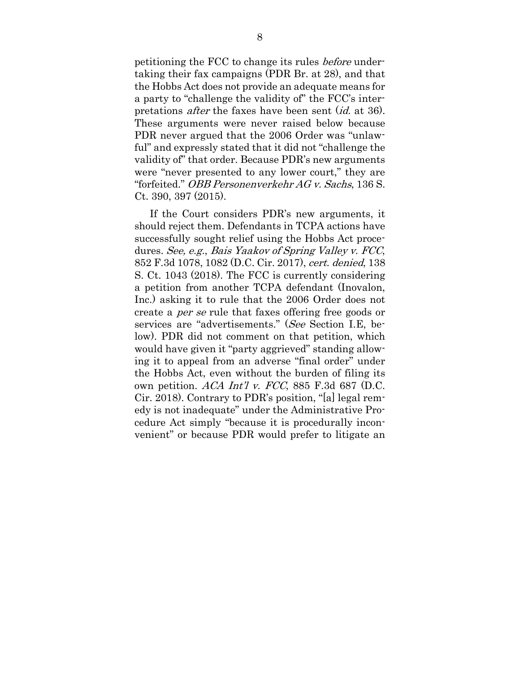petitioning the FCC to change its rules before undertaking their fax campaigns (PDR Br. at 28), and that the Hobbs Act does not provide an adequate means for a party to "challenge the validity of" the FCC's interpretations *after* the faxes have been sent (*id.* at 36). These arguments were never raised below because PDR never argued that the 2006 Order was "unlawful" and expressly stated that it did not "challenge the validity of" that order. Because PDR's new arguments were "never presented to any lower court," they are "forfeited." OBB Personenverkehr AG v. Sachs, 136 S. Ct. 390, 397 (2015).

If the Court considers PDR's new arguments, it should reject them. Defendants in TCPA actions have successfully sought relief using the Hobbs Act procedures. See, e.g., Bais Yaakov of Spring Valley v. FCC, 852 F.3d 1078, 1082 (D.C. Cir. 2017), cert. denied, 138 S. Ct. 1043 (2018). The FCC is currently considering a petition from another TCPA defendant (Inovalon, Inc.) asking it to rule that the 2006 Order does not create a per se rule that faxes offering free goods or services are "advertisements." (See Section I.E, below). PDR did not comment on that petition, which would have given it "party aggrieved" standing allowing it to appeal from an adverse "final order" under the Hobbs Act, even without the burden of filing its own petition. ACA Int'l v. FCC, 885 F.3d 687 (D.C. Cir. 2018). Contrary to PDR's position, "[a] legal remedy is not inadequate" under the Administrative Procedure Act simply "because it is procedurally inconvenient" or because PDR would prefer to litigate an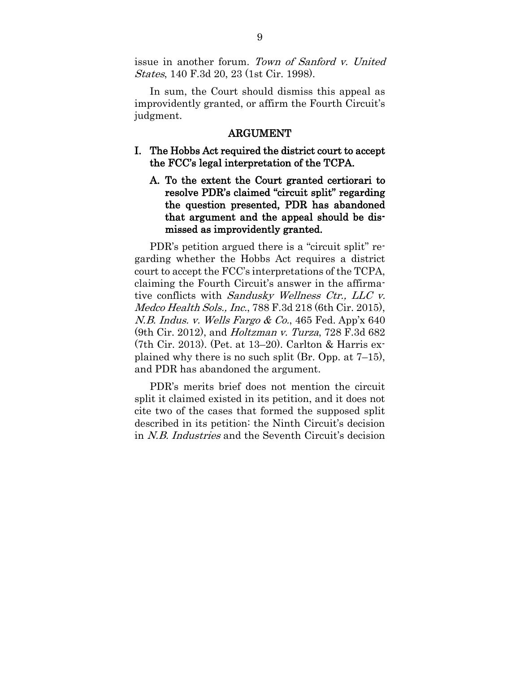issue in another forum. Town of Sanford v. United States, 140 F.3d 20, 23 (1st Cir. 1998).

In sum, the Court should dismiss this appeal as improvidently granted, or affirm the Fourth Circuit's judgment.

### ARGUMENT

- I. The Hobbs Act required the district court to accept the FCC's legal interpretation of the TCPA.
	- A. To the extent the Court granted certiorari to resolve PDR's claimed "circuit split" regarding the question presented, PDR has abandoned that argument and the appeal should be dismissed as improvidently granted.

PDR's petition argued there is a "circuit split" regarding whether the Hobbs Act requires a district court to accept the FCC's interpretations of the TCPA, claiming the Fourth Circuit's answer in the affirmative conflicts with Sandusky Wellness Ctr., LLC v. Medco Health Sols., Inc., 788 F.3d 218 (6th Cir. 2015), N.B. Indus. v. Wells Fargo & Co., 465 Fed. App'x 640 (9th Cir. 2012), and *Holtzman v. Turza*, 728 F.3d 682 (7th Cir. 2013). (Pet. at 13–20). Carlton & Harris explained why there is no such split (Br. Opp. at 7–15), and PDR has abandoned the argument.

PDR's merits brief does not mention the circuit split it claimed existed in its petition, and it does not cite two of the cases that formed the supposed split described in its petition: the Ninth Circuit's decision in N.B. Industries and the Seventh Circuit's decision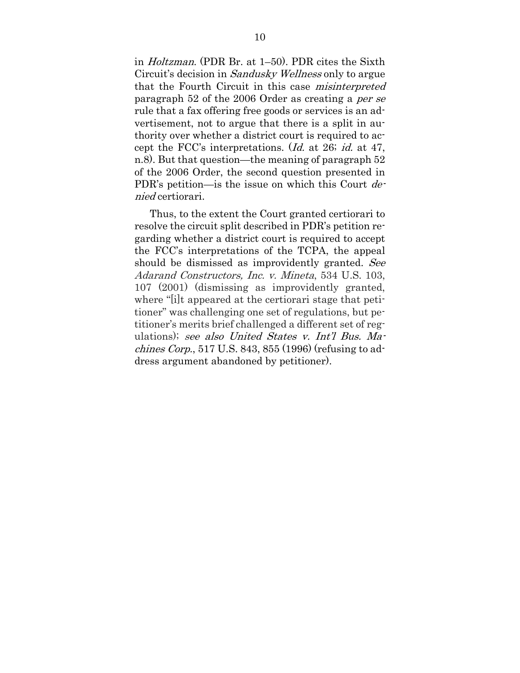in Holtzman. (PDR Br. at 1–50). PDR cites the Sixth Circuit's decision in Sandusky Wellness only to argue that the Fourth Circuit in this case misinterpreted paragraph 52 of the 2006 Order as creating a per se rule that a fax offering free goods or services is an advertisement, not to argue that there is a split in authority over whether a district court is required to accept the FCC's interpretations. (Id. at 26; id. at 47, n.8). But that question—the meaning of paragraph 52 of the 2006 Order, the second question presented in PDR's petition—is the issue on which this Court  $de$ nied certiorari.

Thus, to the extent the Court granted certiorari to resolve the circuit split described in PDR's petition regarding whether a district court is required to accept the FCC's interpretations of the TCPA, the appeal should be dismissed as improvidently granted. See Adarand Constructors, Inc. v. Mineta, 534 U.S. 103, 107 (2001) (dismissing as improvidently granted, where "*i*lt appeared at the certiorari stage that petitioner" was challenging one set of regulations, but petitioner's merits brief challenged a different set of regulations); see also United States v. Int'l Bus. Machines Corp., 517 U.S. 843, 855 (1996) (refusing to address argument abandoned by petitioner).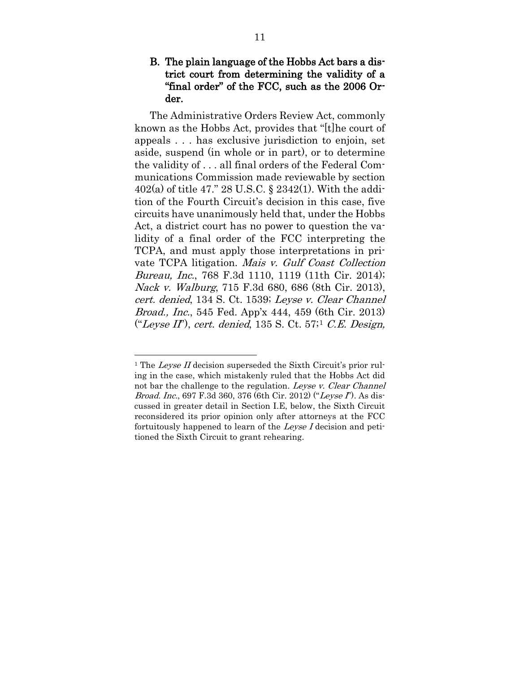### B. The plain language of the Hobbs Act bars a district court from determining the validity of a "final order" of the FCC, such as the 2006 Order.

The Administrative Orders Review Act, commonly known as the Hobbs Act, provides that "[t]he court of appeals . . . has exclusive jurisdiction to enjoin, set aside, suspend (in whole or in part), or to determine the validity of . . . all final orders of the Federal Communications Commission made reviewable by section 402(a) of title 47." 28 U.S.C. § 2342(1). With the addition of the Fourth Circuit's decision in this case, five circuits have unanimously held that, under the Hobbs Act, a district court has no power to question the validity of a final order of the FCC interpreting the TCPA, and must apply those interpretations in private TCPA litigation. Mais v. Gulf Coast Collection Bureau, Inc., 768 F.3d 1110, 1119 (11th Cir. 2014); Nack v. Walburg, 715 F.3d 680, 686 (8th Cir. 2013), cert. denied, 134 S. Ct. 1539; Leyse v. Clear Channel Broad., Inc., 545 Fed. App'x 444, 459 (6th Cir. 2013) ("Leyse II"), cert. denied,  $135 S$  $135 S$ . Ct.  $57$ ; C.E. Design,

<span id="page-23-0"></span><sup>&</sup>lt;sup>1</sup> The *Leyse II* decision superseded the Sixth Circuit's prior ruling in the case, which mistakenly ruled that the Hobbs Act did not bar the challenge to the regulation. Leyse v. Clear Channel *Broad. Inc.*, 697 F.3d 360, 376 (6th Cir. 2012) ("Leyse  $\Gamma$ ). As discussed in greater detail in Section I.E, below, the Sixth Circuit reconsidered its prior opinion only after attorneys at the FCC fortuitously happened to learn of the Leyse I decision and petitioned the Sixth Circuit to grant rehearing.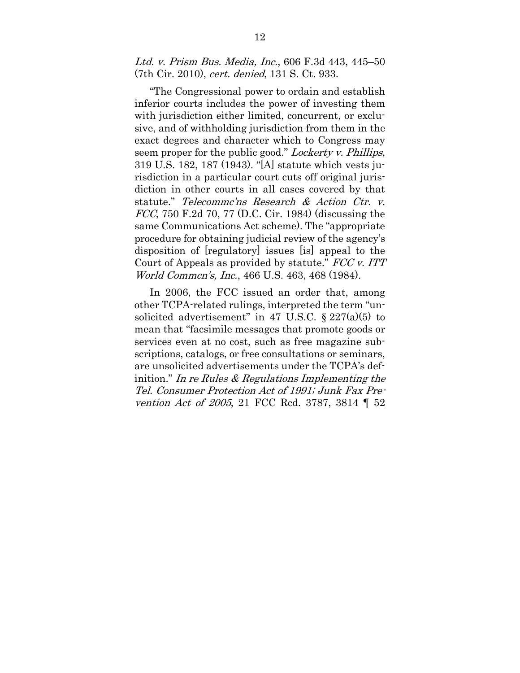Ltd. v. Prism Bus. Media, Inc., 606 F.3d 443, 445–50 (7th Cir. 2010), cert. denied, 131 S. Ct. 933.

"The Congressional power to ordain and establish inferior courts includes the power of investing them with jurisdiction either limited, concurrent, or exclusive, and of withholding jurisdiction from them in the exact degrees and character which to Congress may seem proper for the public good." Lockerty v. Phillips, 319 U.S. 182, 187 (1943). "[A] statute which vests jurisdiction in a particular court cuts off original jurisdiction in other courts in all cases covered by that statute." Telecommc'ns Research & Action Ctr. v. FCC, 750 F.2d 70, 77 (D.C. Cir. 1984) (discussing the same Communications Act scheme). The "appropriate procedure for obtaining judicial review of the agency's disposition of [regulatory] issues [is] appeal to the Court of Appeals as provided by statute." FCC v. ITT World Commcn's, Inc., 466 U.S. 463, 468 (1984).

In 2006, the FCC issued an order that, among other TCPA-related rulings, interpreted the term "unsolicited advertisement" in 47 U.S.C.  $\S 227(a)(5)$  to mean that "facsimile messages that promote goods or services even at no cost, such as free magazine subscriptions, catalogs, or free consultations or seminars, are unsolicited advertisements under the TCPA's definition." In re Rules  $\&$  Regulations Implementing the Tel. Consumer Protection Act of 1991; Junk Fax Prevention Act of 2005, 21 FCC Rcd. 3787, 3814 ¶ 52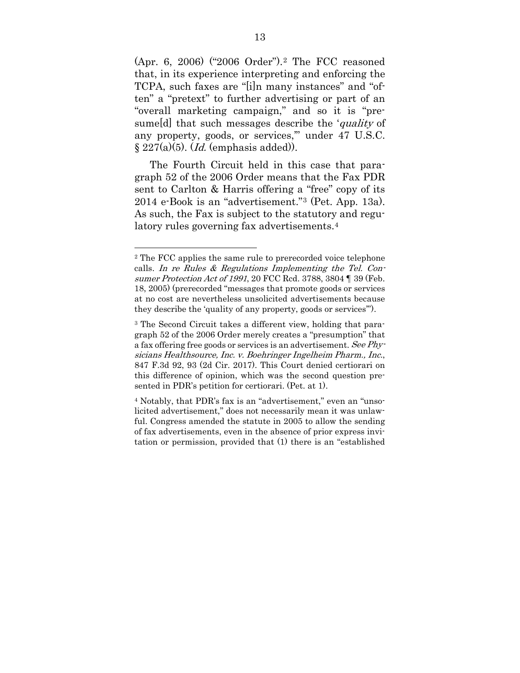(Apr. 6, 2006) ("2006 Order").[2](#page-25-0) The FCC reasoned that, in its experience interpreting and enforcing the TCPA, such faxes are "[i]n many instances" and "often" a "pretext" to further advertising or part of an "overall marketing campaign," and so it is "presume [d] that such messages describe the 'quality of any property, goods, or services,'" under 47 U.S.C.  $\S 227(a)(5)$ . (*Id.* (emphasis added)).

The Fourth Circuit held in this case that paragraph 52 of the 2006 Order means that the Fax PDR sent to Carlton & Harris offering a "free" copy of its 2014 e-Book is an "advertisement."[3](#page-25-1) (Pet. App. 13a). As such, the Fax is subject to the statutory and regulatory rules governing fax advertisements.[4](#page-25-2)

<span id="page-25-0"></span><sup>2</sup> The FCC applies the same rule to prerecorded voice telephone calls. In re Rules & Regulations Implementing the Tel. Consumer Protection Act of 1991, 20 FCC Rcd. 3788, 3804 ¶ 39 (Feb. 18, 2005) (prerecorded "messages that promote goods or services at no cost are nevertheless unsolicited advertisements because they describe the 'quality of any property, goods or services'").

<span id="page-25-1"></span><sup>3</sup> The Second Circuit takes a different view, holding that paragraph 52 of the 2006 Order merely creates a "presumption" that a fax offering free goods or services is an advertisement. See Physicians Healthsource, Inc. v. Boehringer Ingelheim Pharm., Inc., 847 F.3d 92, 93 (2d Cir. 2017). This Court denied certiorari on this difference of opinion, which was the second question presented in PDR's petition for certiorari. (Pet. at 1).

<span id="page-25-2"></span><sup>4</sup> Notably, that PDR's fax is an "advertisement," even an "unsolicited advertisement," does not necessarily mean it was unlawful. Congress amended the statute in 2005 to allow the sending of fax advertisements, even in the absence of prior express invitation or permission, provided that (1) there is an "established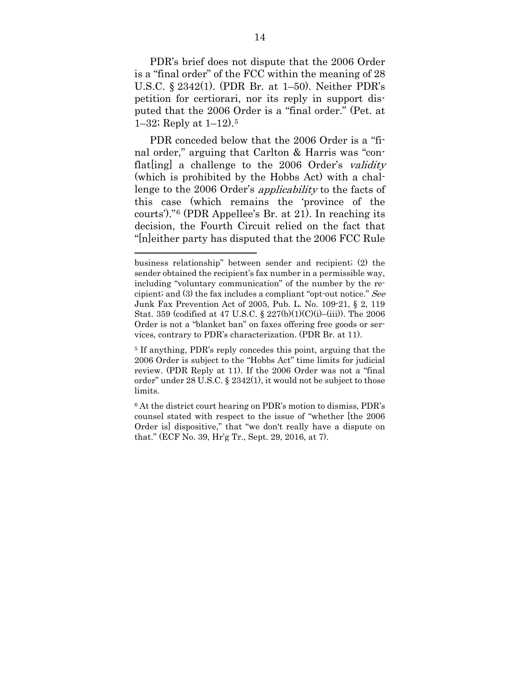PDR's brief does not dispute that the 2006 Order is a "final order" of the FCC within the meaning of 28 U.S.C. § 2342(1). (PDR Br. at 1–50). Neither PDR's petition for certiorari, nor its reply in support disputed that the 2006 Order is a "final order." (Pet. at 1–32; Reply at 1–12).[5](#page-26-0) 

PDR conceded below that the 2006 Order is a "final order," arguing that Carlton & Harris was "conflat  $\left[$ ing a challenge to the 2006 Order's validity (which is prohibited by the Hobbs Act) with a challenge to the 2006 Order's applicability to the facts of this case (which remains the 'province of the courts')."[6](#page-26-1) (PDR Appellee's Br. at 21). In reaching its decision, the Fourth Circuit relied on the fact that "[n]either party has disputed that the 2006 FCC Rule

business relationship" between sender and recipient; (2) the sender obtained the recipient's fax number in a permissible way, including "voluntary communication" of the number by the recipient; and (3) the fax includes a compliant "opt-out notice." See Junk Fax Prevention Act of 2005, Pub. L. No. 109-21, § 2, 119 Stat. 359 (codified at 47 U.S.C. § 227(b)(1)(C)(i)–(iii)). The 2006 Order is not a "blanket ban" on faxes offering free goods or services, contrary to PDR's characterization. (PDR Br. at 11).

<span id="page-26-0"></span><sup>5</sup> If anything, PDR's reply concedes this point, arguing that the 2006 Order is subject to the "Hobbs Act" time limits for judicial review. (PDR Reply at 11). If the 2006 Order was not a "final order" under 28 U.S.C. § 2342(1), it would not be subject to those limits.

<span id="page-26-1"></span><sup>6</sup> At the district court hearing on PDR's motion to dismiss, PDR's counsel stated with respect to the issue of "whether [the 2006 Order is] dispositive," that "we don't really have a dispute on that." (ECF No. 39, Hr'g Tr., Sept. 29, 2016, at 7).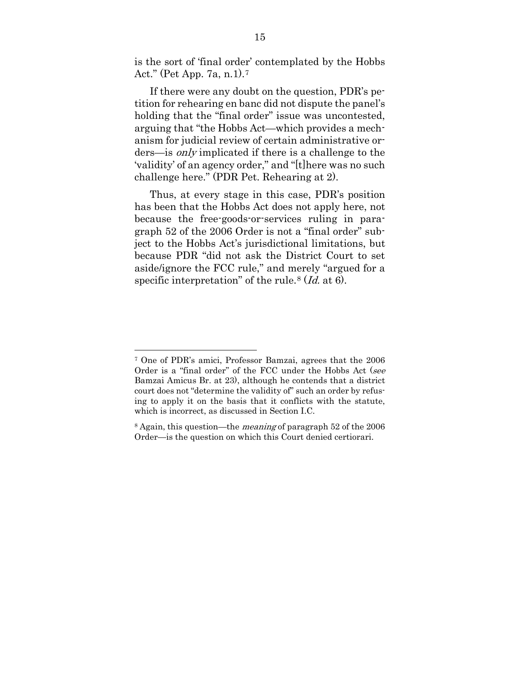is the sort of 'final order' contemplated by the Hobbs Act." (Pet App. 7a, n.1).[7](#page-27-0)

If there were any doubt on the question, PDR's petition for rehearing en banc did not dispute the panel's holding that the "final order" issue was uncontested, arguing that "the Hobbs Act—which provides a mechanism for judicial review of certain administrative orders—is only implicated if there is a challenge to the 'validity' of an agency order," and "[t]here was no such challenge here." (PDR Pet. Rehearing at 2).

Thus, at every stage in this case, PDR's position has been that the Hobbs Act does not apply here, not because the free-goods-or-services ruling in paragraph 52 of the 2006 Order is not a "final order" subject to the Hobbs Act's jurisdictional limitations, but because PDR "did not ask the District Court to set aside/ignore the FCC rule," and merely "argued for a specific interpretation" of the rule.<sup>[8](#page-27-1)</sup> (*Id.* at 6).

<span id="page-27-0"></span><sup>7</sup> One of PDR's amici, Professor Bamzai, agrees that the 2006 Order is a "final order" of the FCC under the Hobbs Act (see Bamzai Amicus Br. at 23), although he contends that a district court does not "determine the validity of" such an order by refusing to apply it on the basis that it conflicts with the statute, which is incorrect, as discussed in Section I.C.

<span id="page-27-1"></span><sup>8</sup> Again, this question—the meaning of paragraph 52 of the 2006 Order—is the question on which this Court denied certiorari.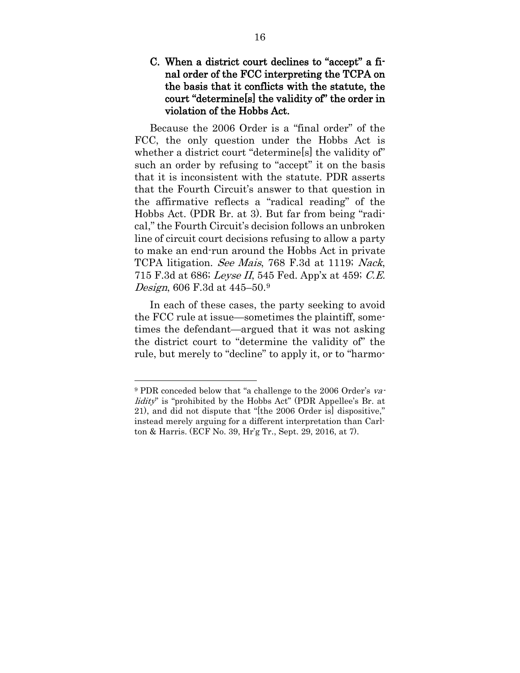### C. When a district court declines to "accept" a final order of the FCC interpreting the TCPA on the basis that it conflicts with the statute, the court "determine[s] the validity of" the order in violation of the Hobbs Act.

Because the 2006 Order is a "final order" of the FCC, the only question under the Hobbs Act is whether a district court "determine<sup>[s]</sup> the validity of" such an order by refusing to "accept" it on the basis that it is inconsistent with the statute. PDR asserts that the Fourth Circuit's answer to that question in the affirmative reflects a "radical reading" of the Hobbs Act. (PDR Br. at 3). But far from being "radical," the Fourth Circuit's decision follows an unbroken line of circuit court decisions refusing to allow a party to make an end-run around the Hobbs Act in private TCPA litigation. See Mais, 768 F.3d at 1119; Nack, 715 F.3d at 686; Leyse II, 545 Fed. App'x at 459; C.E. Design, 606 F.3d at 445–50.[9](#page-28-0)

In each of these cases, the party seeking to avoid the FCC rule at issue—sometimes the plaintiff, sometimes the defendant—argued that it was not asking the district court to "determine the validity of" the rule, but merely to "decline" to apply it, or to "harmo-

<span id="page-28-0"></span><sup>&</sup>lt;sup>9</sup> PDR conceded below that "a challenge to the 2006 Order's validity" is "prohibited by the Hobbs Act" (PDR Appellee's Br. at 21), and did not dispute that "[the 2006 Order is] dispositive," instead merely arguing for a different interpretation than Carlton & Harris. (ECF No. 39, Hr'g Tr., Sept. 29, 2016, at 7).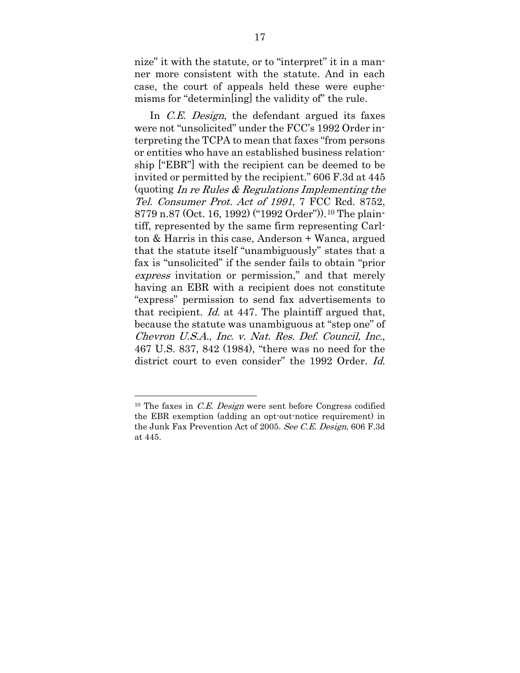nize" it with the statute, or to "interpret" it in a manner more consistent with the statute. And in each case, the court of appeals held these were euphemisms for "determin[ing] the validity of" the rule.

In *C.E. Design*, the defendant argued its faxes were not "unsolicited" under the FCC's 1992 Order interpreting the TCPA to mean that faxes "from persons or entities who have an established business relationship ["EBR"] with the recipient can be deemed to be invited or permitted by the recipient." 606 F.3d at 445 (quoting In re Rules  $\&$  Regulations Implementing the Tel. Consumer Prot. Act of 1991, 7 FCC Rcd. 8752, 8779 n.87 (Oct. 16, 1992) ("1992 Order")).[10](#page-29-0) The plaintiff, represented by the same firm representing Carlton & Harris in this case, Anderson + Wanca, argued that the statute itself "unambiguously" states that a fax is "unsolicited" if the sender fails to obtain "prior express invitation or permission," and that merely having an EBR with a recipient does not constitute "express" permission to send fax advertisements to that recipient. Id. at 447. The plaintiff argued that, because the statute was unambiguous at "step one" of Chevron U.S.A., Inc. v. Nat. Res. Def. Council, Inc., 467 U.S. 837, 842 (1984), "there was no need for the district court to even consider" the 1992 Order. Id.

<span id="page-29-0"></span> $10$  The faxes in *C.E. Design* were sent before Congress codified the EBR exemption (adding an opt-out-notice requirement) in the Junk Fax Prevention Act of 2005. See C.E. Design, 606 F.3d at 445.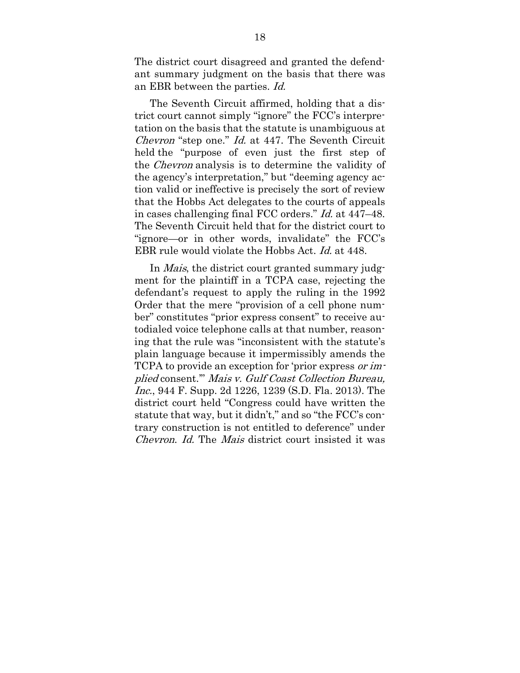The district court disagreed and granted the defendant summary judgment on the basis that there was an EBR between the parties. Id.

The Seventh Circuit affirmed, holding that a district court cannot simply "ignore" the FCC's interpretation on the basis that the statute is unambiguous at Chevron "step one." Id. at 447. The Seventh Circuit held the "purpose of even just the first step of the Chevron analysis is to determine the validity of the agency's interpretation," but "deeming agency action valid or ineffective is precisely the sort of review that the Hobbs Act delegates to the courts of appeals in cases challenging final FCC orders." Id. at 447–48. The Seventh Circuit held that for the district court to "ignore—or in other words, invalidate" the FCC's EBR rule would violate the Hobbs Act. Id. at 448.

In *Mais*, the district court granted summary judgment for the plaintiff in a TCPA case, rejecting the defendant's request to apply the ruling in the 1992 Order that the mere "provision of a cell phone number" constitutes "prior express consent" to receive autodialed voice telephone calls at that number, reasoning that the rule was "inconsistent with the statute's plain language because it impermissibly amends the TCPA to provide an exception for 'prior express or implied consent.'" Mais v. Gulf Coast Collection Bureau, Inc., 944 F. Supp. 2d 1226, 1239 (S.D. Fla. 2013). The district court held "Congress could have written the statute that way, but it didn't," and so "the FCC's contrary construction is not entitled to deference" under Chevron. Id. The Mais district court insisted it was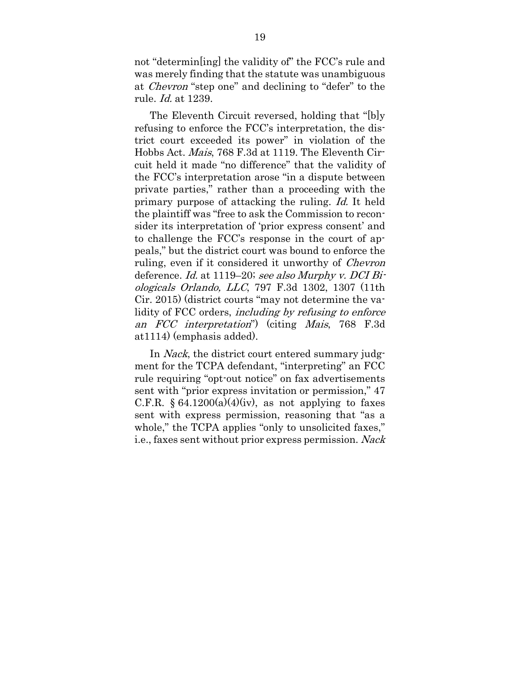not "determin[ing] the validity of" the FCC's rule and was merely finding that the statute was unambiguous at Chevron "step one" and declining to "defer" to the rule. Id. at 1239.

The Eleventh Circuit reversed, holding that "[b]y refusing to enforce the FCC's interpretation, the district court exceeded its power" in violation of the Hobbs Act. Mais, 768 F.3d at 1119. The Eleventh Circuit held it made "no difference" that the validity of the FCC's interpretation arose "in a dispute between private parties," rather than a proceeding with the primary purpose of attacking the ruling. Id. It held the plaintiff was "free to ask the Commission to reconsider its interpretation of 'prior express consent' and to challenge the FCC's response in the court of appeals," but the district court was bound to enforce the ruling, even if it considered it unworthy of Chevron deference. Id. at 1119–20; see also Murphy v. DCI Biologicals Orlando, LLC, 797 F.3d 1302, 1307 (11th Cir. 2015) (district courts "may not determine the validity of FCC orders, *including by refusing to enforce* an FCC interpretation") (citing Mais, 768 F.3d at1114) (emphasis added).

In *Nack*, the district court entered summary judgment for the TCPA defendant, "interpreting" an FCC rule requiring "opt-out notice" on fax advertisements sent with "prior express invitation or permission," 47 C.F.R.  $§ 64.1200(a)(4)(iv)$ , as not applying to faxes sent with express permission, reasoning that "as a whole," the TCPA applies "only to unsolicited faxes," i.e., faxes sent without prior express permission. Nack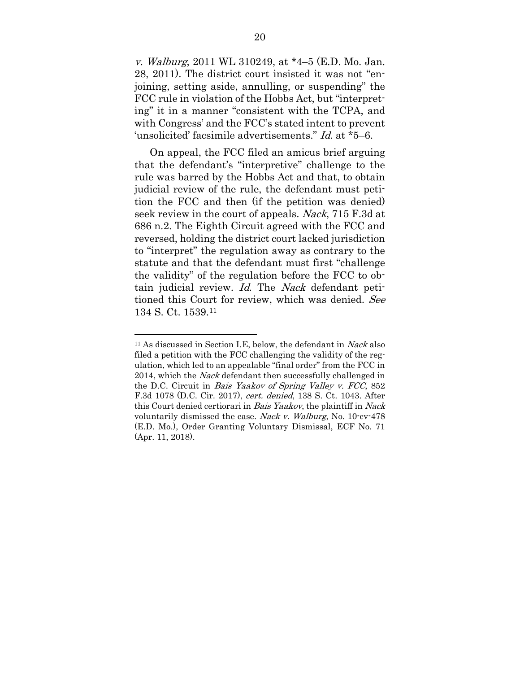v. Walburg, 2011 WL 310249, at \*4–5 (E.D. Mo. Jan. 28, 2011). The district court insisted it was not "enjoining, setting aside, annulling, or suspending" the FCC rule in violation of the Hobbs Act, but "interpreting" it in a manner "consistent with the TCPA, and with Congress' and the FCC's stated intent to prevent 'unsolicited' facsimile advertisements." Id. at \*5–6.

On appeal, the FCC filed an amicus brief arguing that the defendant's "interpretive" challenge to the rule was barred by the Hobbs Act and that, to obtain judicial review of the rule, the defendant must petition the FCC and then (if the petition was denied) seek review in the court of appeals. Nack, 715 F.3d at 686 n.2. The Eighth Circuit agreed with the FCC and reversed, holding the district court lacked jurisdiction to "interpret" the regulation away as contrary to the statute and that the defendant must first "challenge the validity" of the regulation before the FCC to obtain judicial review. Id. The Nack defendant petitioned this Court for review, which was denied. See 134 S. Ct. 1539[.11](#page-32-0)

<span id="page-32-0"></span> $11$  As discussed in Section I.E, below, the defendant in Nack also filed a petition with the FCC challenging the validity of the regulation, which led to an appealable "final order" from the FCC in 2014, which the *Nack* defendant then successfully challenged in the D.C. Circuit in Bais Yaakov of Spring Valley v. FCC, 852 F.3d 1078 (D.C. Cir. 2017), cert. denied, 138 S. Ct. 1043. After this Court denied certiorari in Bais Yaakov, the plaintiff in Nack voluntarily dismissed the case. Nack v. Walburg, No. 10-cv-478 (E.D. Mo.), Order Granting Voluntary Dismissal, ECF No. 71 (Apr. 11, 2018).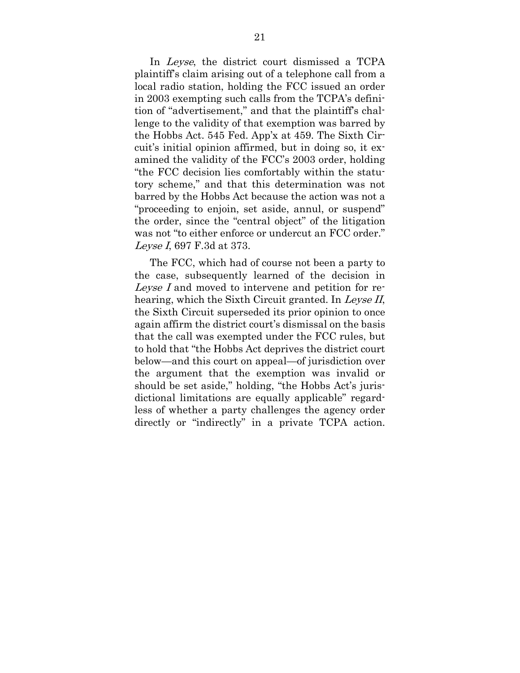In *Leyse*, the district court dismissed a TCPA plaintiff's claim arising out of a telephone call from a local radio station, holding the FCC issued an order in 2003 exempting such calls from the TCPA's definition of "advertisement," and that the plaintiff's challenge to the validity of that exemption was barred by the Hobbs Act. 545 Fed. App'x at 459. The Sixth Circuit's initial opinion affirmed, but in doing so, it examined the validity of the FCC's 2003 order, holding "the FCC decision lies comfortably within the statutory scheme," and that this determination was not barred by the Hobbs Act because the action was not a "proceeding to enjoin, set aside, annul, or suspend" the order, since the "central object" of the litigation was not "to either enforce or undercut an FCC order." Leyse I, 697 F.3d at 373.

The FCC, which had of course not been a party to the case, subsequently learned of the decision in Leyse I and moved to intervene and petition for rehearing, which the Sixth Circuit granted. In Leyse II, the Sixth Circuit superseded its prior opinion to once again affirm the district court's dismissal on the basis that the call was exempted under the FCC rules, but to hold that "the Hobbs Act deprives the district court below—and this court on appeal—of jurisdiction over the argument that the exemption was invalid or should be set aside," holding, "the Hobbs Act's jurisdictional limitations are equally applicable" regardless of whether a party challenges the agency order directly or "indirectly" in a private TCPA action.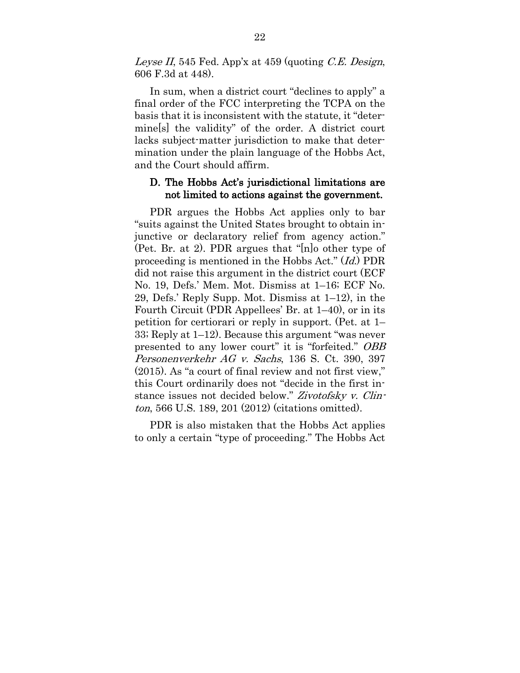Leyse II, 545 Fed. App'x at 459 (quoting C.E. Design, 606 F.3d at 448).

In sum, when a district court "declines to apply" a final order of the FCC interpreting the TCPA on the basis that it is inconsistent with the statute, it "determine[s] the validity" of the order. A district court lacks subject-matter jurisdiction to make that determination under the plain language of the Hobbs Act, and the Court should affirm.

### D. The Hobbs Act's jurisdictional limitations are not limited to actions against the government.

PDR argues the Hobbs Act applies only to bar "suits against the United States brought to obtain injunctive or declaratory relief from agency action." (Pet. Br. at 2). PDR argues that "[n]o other type of proceeding is mentioned in the Hobbs Act." (Id.) PDR did not raise this argument in the district court (ECF No. 19, Defs.' Mem. Mot. Dismiss at 1–16; ECF No. 29, Defs.' Reply Supp. Mot. Dismiss at 1–12), in the Fourth Circuit (PDR Appellees' Br. at 1–40), or in its petition for certiorari or reply in support. (Pet. at 1– 33; Reply at 1–12). Because this argument "was never presented to any lower court" it is "forfeited." OBB Personenverkehr AG v. Sachs, 136 S. Ct. 390, 397 (2015). As "a court of final review and not first view," this Court ordinarily does not "decide in the first instance issues not decided below." Zivotofsky v. Clinton, 566 U.S. 189, 201 (2012) (citations omitted).

PDR is also mistaken that the Hobbs Act applies to only a certain "type of proceeding." The Hobbs Act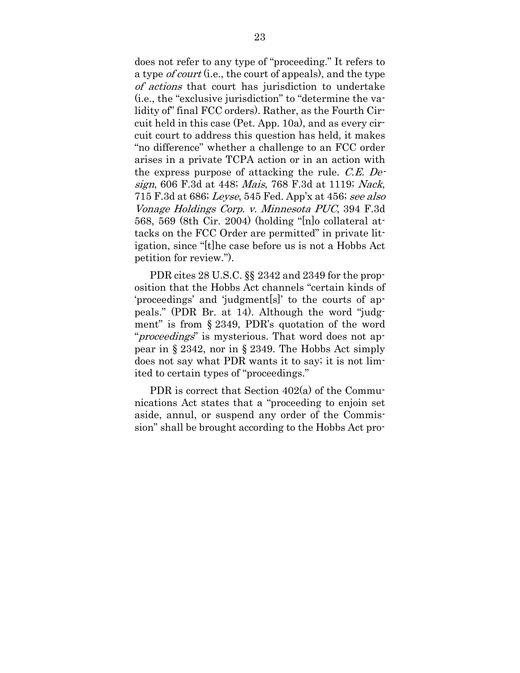does not refer to any type of "proceeding." It refers to a type *of court* (i.e., the court of appeals), and the type of actions that court has jurisdiction to undertake (i.e., the "exclusive jurisdiction" to "determine the validity of" final FCC orders). Rather, as the Fourth Circuit held in this case (Pet. App. 10a), and as every circuit court to address this question has held, it makes "no difference" whether a challenge to an FCC order arises in a private TCPA action or in an action with the express purpose of attacking the rule. C.E. Design, 606 F.3d at 448; Mais, 768 F.3d at 1119; Nack, 715 F.3d at 686; Leyse, 545 Fed. App'x at 456; see also Vonage Holdings Corp. v. Minnesota PUC, 394 F.3d 568, 569 (8th Cir. 2004) (holding "[n]o collateral attacks on the FCC Order are permitted" in private litigation, since "[t]he case before us is not a Hobbs Act petition for review.").

PDR cites 28 U.S.C. §§ 2342 and 2349 for the proposition that the Hobbs Act channels "certain kinds of 'proceedings' and 'judgment[s]' to the courts of appeals." (PDR Br. at 14). Although the word "judgment" is from § 2349, PDR's quotation of the word "proceedings" is mysterious. That word does not appear in § 2342, nor in § 2349. The Hobbs Act simply does not say what PDR wants it to say; it is not limited to certain types of "proceedings."

PDR is correct that Section 402(a) of the Communications Act states that a "proceeding to enjoin set aside, annul, or suspend any order of the Commission" shall be brought according to the Hobbs Act pro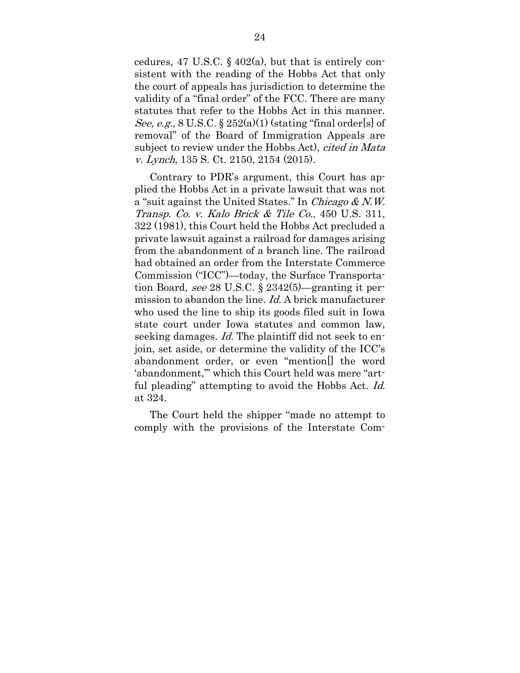cedures, 47 U.S.C.  $\S$  402(a), but that is entirely consistent with the reading of the Hobbs Act that only the court of appeals has jurisdiction to determine the validity of a "final order" of the FCC. There are many statutes that refer to the Hobbs Act in this manner. See, e.g.,  $8 \text{ U.S.C.} \$  $252(a)(1)$  (stating "final order[s] of removal" of the Board of Immigration Appeals are subject to review under the Hobbs Act), *cited in Mata* v. Lynch, 135 S. Ct. 2150, 2154 (2015).

Contrary to PDR's argument, this Court has applied the Hobbs Act in a private lawsuit that was not a "suit against the United States." In Chicago  $& N.W.$ Transp. Co. v. Kalo Brick & Tile Co., 450 U.S. 311, 322 (1981), this Court held the Hobbs Act precluded a private lawsuit against a railroad for damages arising from the abandonment of a branch line. The railroad had obtained an order from the Interstate Commerce Commission ("ICC")—today, the Surface Transportation Board, see 28 U.S.C. § 2342(5)—granting it permission to abandon the line. Id. A brick manufacturer who used the line to ship its goods filed suit in Iowa state court under Iowa statutes and common law, seeking damages. *Id.* The plaintiff did not seek to enjoin, set aside, or determine the validity of the ICC's abandonment order, or even "mention[] the word 'abandonment,'" which this Court held was mere "artful pleading" attempting to avoid the Hobbs Act. Id. at 324.

The Court held the shipper "made no attempt to comply with the provisions of the Interstate Com-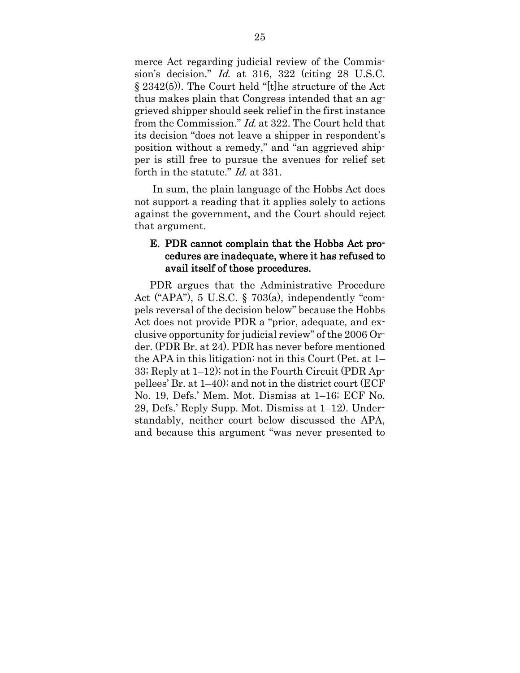merce Act regarding judicial review of the Commission's decision." Id. at 316, 322 (citing 28 U.S.C. § 2342(5)). The Court held "[t]he structure of the Act thus makes plain that Congress intended that an aggrieved shipper should seek relief in the first instance from the Commission." Id. at 322. The Court held that its decision "does not leave a shipper in respondent's position without a remedy," and "an aggrieved shipper is still free to pursue the avenues for relief set forth in the statute." *Id.* at 331.

In sum, the plain language of the Hobbs Act does not support a reading that it applies solely to actions against the government, and the Court should reject that argument.

### E. PDR cannot complain that the Hobbs Act procedures are inadequate, where it has refused to avail itself of those procedures.

PDR argues that the Administrative Procedure Act ("APA"), 5 U.S.C. § 703(a), independently "compels reversal of the decision below" because the Hobbs Act does not provide PDR a "prior, adequate, and exclusive opportunity for judicial review" of the 2006 Order. (PDR Br. at 24). PDR has never before mentioned the APA in this litigation: not in this Court (Pet. at 1– 33; Reply at 1–12); not in the Fourth Circuit (PDR Appellees' Br. at 1–40); and not in the district court (ECF No. 19, Defs.' Mem. Mot. Dismiss at 1–16; ECF No. 29, Defs.' Reply Supp. Mot. Dismiss at 1–12). Understandably, neither court below discussed the APA, and because this argument "was never presented to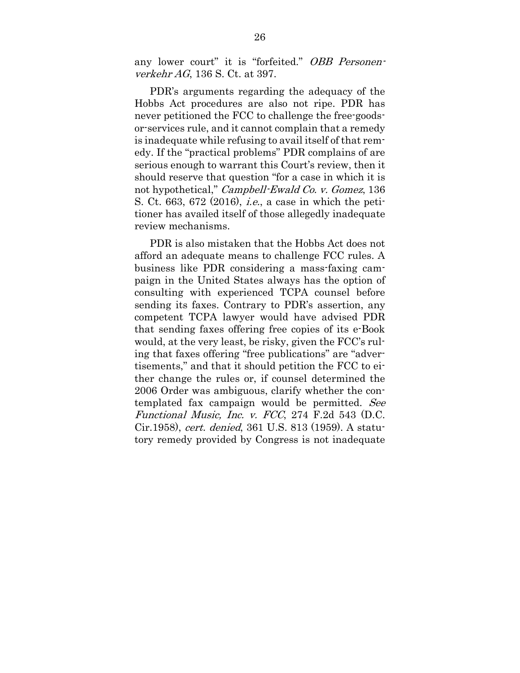any lower court" it is "forfeited." OBB Personenverkehr AG, 136 S. Ct. at 397.

PDR's arguments regarding the adequacy of the Hobbs Act procedures are also not ripe. PDR has never petitioned the FCC to challenge the free-goodsor-services rule, and it cannot complain that a remedy is inadequate while refusing to avail itself of that remedy. If the "practical problems" PDR complains of are serious enough to warrant this Court's review, then it should reserve that question "for a case in which it is not hypothetical," Campbell-Ewald Co. v. Gomez, 136 S. Ct. 663, 672 (2016), i.e., a case in which the petitioner has availed itself of those allegedly inadequate review mechanisms.

PDR is also mistaken that the Hobbs Act does not afford an adequate means to challenge FCC rules. A business like PDR considering a mass-faxing campaign in the United States always has the option of consulting with experienced TCPA counsel before sending its faxes. Contrary to PDR's assertion, any competent TCPA lawyer would have advised PDR that sending faxes offering free copies of its e-Book would, at the very least, be risky, given the FCC's ruling that faxes offering "free publications" are "advertisements," and that it should petition the FCC to either change the rules or, if counsel determined the 2006 Order was ambiguous, clarify whether the contemplated fax campaign would be permitted. See Functional Music, Inc. v.  $FCC$ , 274 F.2d 543 (D.C. Cir.1958), cert. denied, 361 U.S. 813 (1959). A statutory remedy provided by Congress is not inadequate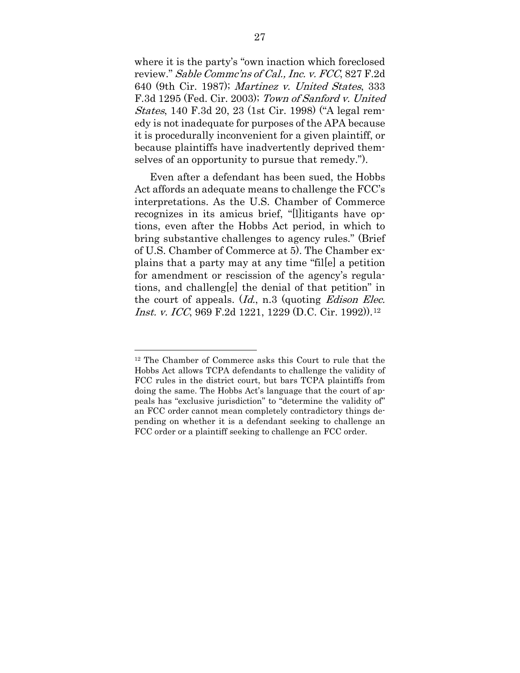where it is the party's "own inaction which foreclosed review." Sable Commc'ns of Cal., Inc. v. FCC, 827 F.2d 640 (9th Cir. 1987); Martinez v. United States, 333 F.3d 1295 (Fed. Cir. 2003); Town of Sanford v. United States, 140 F.3d 20, 23 (1st Cir. 1998) ("A legal remedy is not inadequate for purposes of the APA because it is procedurally inconvenient for a given plaintiff, or because plaintiffs have inadvertently deprived themselves of an opportunity to pursue that remedy.").

Even after a defendant has been sued, the Hobbs Act affords an adequate means to challenge the FCC's interpretations. As the U.S. Chamber of Commerce recognizes in its amicus brief, "[l]itigants have options, even after the Hobbs Act period, in which to bring substantive challenges to agency rules." (Brief of U.S. Chamber of Commerce at 5). The Chamber explains that a party may at any time "fil[e] a petition for amendment or rescission of the agency's regulations, and challeng[e] the denial of that petition" in the court of appeals.  $(Id, n.3$  (quoting *Edison Elec. Inst. v. ICC*, 969 F.2d [12](#page-39-0)21, 1229 (D.C. Cir. 1992)).<sup>12</sup>

<span id="page-39-0"></span><sup>12</sup> The Chamber of Commerce asks this Court to rule that the Hobbs Act allows TCPA defendants to challenge the validity of FCC rules in the district court, but bars TCPA plaintiffs from doing the same. The Hobbs Act's language that the court of appeals has "exclusive jurisdiction" to "determine the validity of" an FCC order cannot mean completely contradictory things depending on whether it is a defendant seeking to challenge an FCC order or a plaintiff seeking to challenge an FCC order.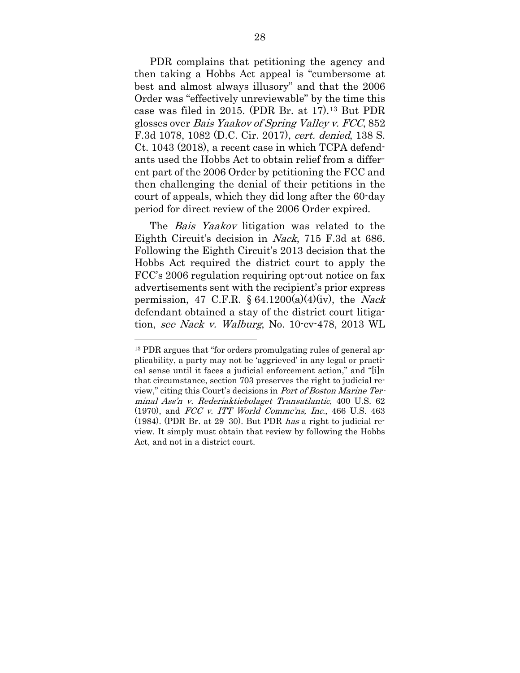PDR complains that petitioning the agency and then taking a Hobbs Act appeal is "cumbersome at best and almost always illusory" and that the 2006 Order was "effectively unreviewable" by the time this case was filed in 2015. (PDR Br. at 17).[13](#page-40-0) But PDR glosses over Bais Yaakov of Spring Valley v. FCC, 852 F.3d 1078, 1082 (D.C. Cir. 2017), cert. denied, 138 S. Ct. 1043 (2018), a recent case in which TCPA defendants used the Hobbs Act to obtain relief from a different part of the 2006 Order by petitioning the FCC and then challenging the denial of their petitions in the court of appeals, which they did long after the 60-day period for direct review of the 2006 Order expired.

The *Bais Yaakov* litigation was related to the Eighth Circuit's decision in Nack, 715 F.3d at 686. Following the Eighth Circuit's 2013 decision that the Hobbs Act required the district court to apply the FCC's 2006 regulation requiring opt-out notice on fax advertisements sent with the recipient's prior express permission, 47 C.F.R.  $\S$  64.1200(a)(4)(iv), the *Nack* defendant obtained a stay of the district court litigation, see Nack v. Walburg, No. 10-cv-478, 2013 WL

<span id="page-40-0"></span><sup>13</sup> PDR argues that "for orders promulgating rules of general applicability, a party may not be 'aggrieved' in any legal or practical sense until it faces a judicial enforcement action," and "[i]n that circumstance, section 703 preserves the right to judicial review," citing this Court's decisions in Port of Boston Marine Terminal Ass'n v. Rederiaktiebolaget Transatlantic, 400 U.S. 62 (1970), and FCC v. ITT World Commc'ns, Inc., 466 U.S. 463 (1984). (PDR Br. at 29–30). But PDR has a right to judicial review. It simply must obtain that review by following the Hobbs Act, and not in a district court.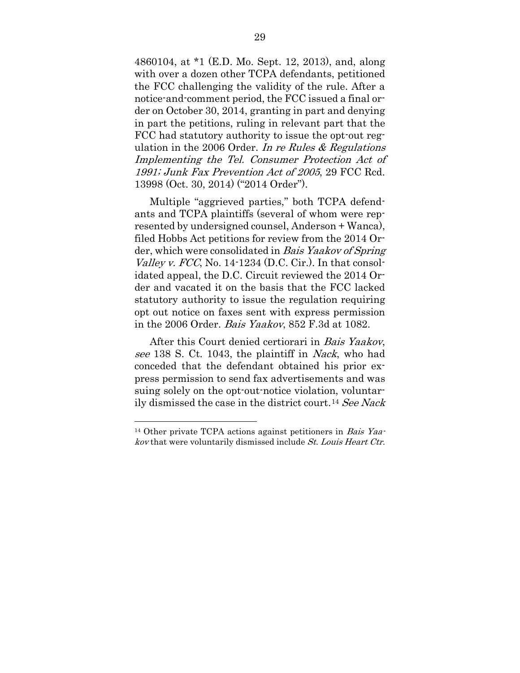4860104, at \*1 (E.D. Mo. Sept. 12, 2013), and, along with over a dozen other TCPA defendants, petitioned the FCC challenging the validity of the rule. After a notice-and-comment period, the FCC issued a final order on October 30, 2014, granting in part and denying in part the petitions, ruling in relevant part that the FCC had statutory authority to issue the opt-out regulation in the 2006 Order. In re Rules  $&$  Regulations Implementing the Tel. Consumer Protection Act of 1991; Junk Fax Prevention Act of 2005, 29 FCC Rcd. 13998 (Oct. 30, 2014) ("2014 Order").

Multiple "aggrieved parties," both TCPA defendants and TCPA plaintiffs (several of whom were represented by undersigned counsel, Anderson + Wanca), filed Hobbs Act petitions for review from the 2014 Order, which were consolidated in Bais Yaakov of Spring *Valley v. FCC*, No. 14-1234 (D.C. Cir.). In that consolidated appeal, the D.C. Circuit reviewed the 2014 Order and vacated it on the basis that the FCC lacked statutory authority to issue the regulation requiring opt out notice on faxes sent with express permission in the 2006 Order. Bais Yaakov, 852 F.3d at 1082.

After this Court denied certiorari in Bais Yaakov, see 138 S. Ct. 1043, the plaintiff in *Nack*, who had conceded that the defendant obtained his prior express permission to send fax advertisements and was suing solely on the opt-out-notice violation, voluntarily dismissed the case in the district court.[14](#page-41-0) See Nack

<span id="page-41-0"></span><sup>&</sup>lt;sup>14</sup> Other private TCPA actions against petitioners in *Bais Yaa*kov that were voluntarily dismissed include St. Louis Heart Ctr.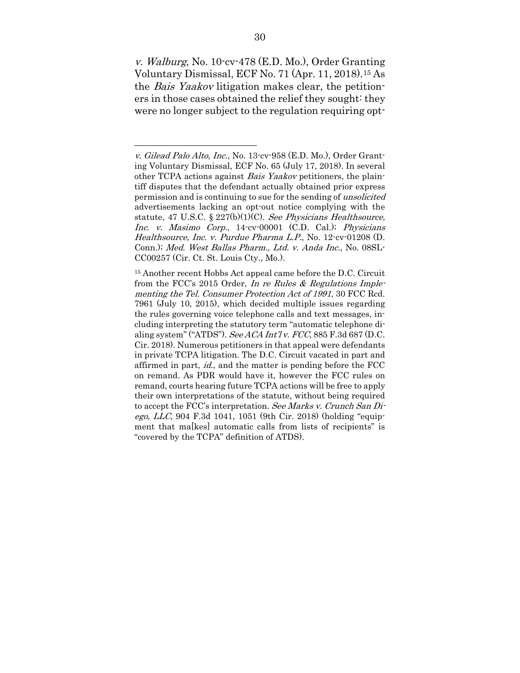v. Walburg, No. 10-cv-478 (E.D. Mo.), Order Granting Voluntary Dismissal, ECF No. 71 (Apr. 11, 2018).[15](#page-42-0) As the Bais Yaakov litigation makes clear, the petitioners in those cases obtained the relief they sought: they were no longer subject to the regulation requiring opt-

v. Gilead Palo Alto, Inc., No. 13-cv-958 (E.D. Mo.), Order Granting Voluntary Dismissal, ECF No. 65 (July 17, 2018). In several other TCPA actions against Bais Yaakov petitioners, the plaintiff disputes that the defendant actually obtained prior express permission and is continuing to sue for the sending of unsolicited advertisements lacking an opt-out notice complying with the statute, 47 U.S.C.  $\S 227(b)(1)(C)$ . See Physicians Healthsource, Inc. v. Masimo Corp., 14-cv-00001 (C.D. Cal.); Physicians Healthsource, Inc. v. Purdue Pharma L.P., No. 12-cv-01208 (D. Conn.); Med. West Ballas Pharm., Ltd. v. Anda Inc., No. 08SL-CC00257 (Cir. Ct. St. Louis Cty., Mo.).

<span id="page-42-0"></span><sup>15</sup> Another recent Hobbs Act appeal came before the D.C. Circuit from the FCC's 2015 Order, In re Rules & Regulations Implementing the Tel. Consumer Protection Act of 1991, 30 FCC Rcd. 7961 (July 10, 2015), which decided multiple issues regarding the rules governing voice telephone calls and text messages, including interpreting the statutory term "automatic telephone dialing system" ("ATDS"). See ACA Int'l v. FCC, 885 F.3d 687 (D.C. Cir. 2018). Numerous petitioners in that appeal were defendants in private TCPA litigation. The D.C. Circuit vacated in part and affirmed in part, *id.*, and the matter is pending before the FCC on remand. As PDR would have it, however the FCC rules on remand, courts hearing future TCPA actions will be free to apply their own interpretations of the statute, without being required to accept the FCC's interpretation. See Marks v. Crunch San Di*ego, LLC*, 904 F.3d 1041, 1051 (9th Cir. 2018) (holding "equipment that ma[kes] automatic calls from lists of recipients" is "covered by the TCPA" definition of ATDS).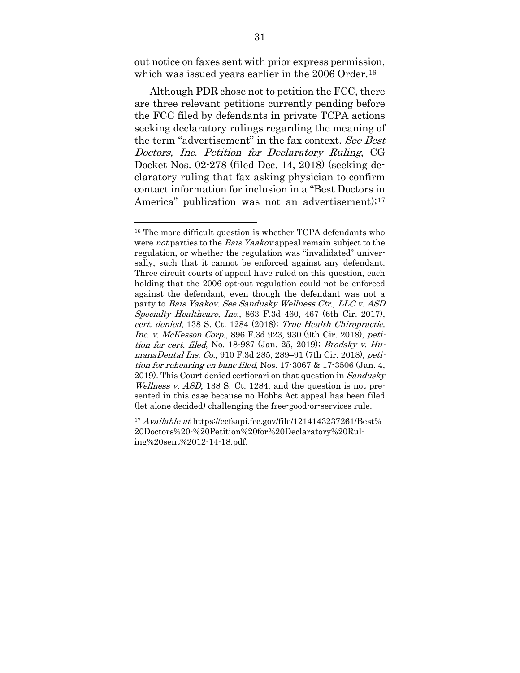out notice on faxes sent with prior express permission, which was issued years earlier in the 2006 Order.<sup>[16](#page-43-0)</sup>

Although PDR chose not to petition the FCC, there are three relevant petitions currently pending before the FCC filed by defendants in private TCPA actions seeking declaratory rulings regarding the meaning of the term "advertisement" in the fax context. See Best Doctors, Inc. Petition for Declaratory Ruling, CG Docket Nos. 02-278 (filed Dec. 14, 2018) (seeking declaratory ruling that fax asking physician to confirm contact information for inclusion in a "Best Doctors in America" publication was not an advertisement);<sup>[17](#page-43-1)</sup>

<span id="page-43-0"></span><sup>&</sup>lt;sup>16</sup> The more difficult question is whether TCPA defendants who were *not* parties to the *Bais Yaakov* appeal remain subject to the regulation, or whether the regulation was "invalidated" universally, such that it cannot be enforced against any defendant. Three circuit courts of appeal have ruled on this question, each holding that the 2006 opt-out regulation could not be enforced against the defendant, even though the defendant was not a party to Bais Yaakov. See Sandusky Wellness Ctr., LLC v. ASD Specialty Healthcare, Inc., 863 F.3d 460, 467 (6th Cir. 2017), cert. denied, 138 S. Ct. 1284 (2018); True Health Chiropractic, Inc. v. McKesson Corp., 896 F.3d 923, 930 (9th Cir. 2018), petition for cert. filed, No. 18-987 (Jan. 25, 2019); Brodsky v. HumanaDental Ins. Co., 910 F.3d 285, 289–91 (7th Cir. 2018), petition for rehearing en banc filed, Nos. 17-3067 & 17-3506 (Jan. 4, 2019). This Court denied certiorari on that question in Sandusky Wellness v. ASD, 138 S. Ct. 1284, and the question is not presented in this case because no Hobbs Act appeal has been filed (let alone decided) challenging the free-good-or-services rule.

<span id="page-43-1"></span><sup>&</sup>lt;sup>17</sup> Available at https://ecfsapi.fcc.gov/file/1214143237261/Best% 20Doctors%20-%20Petition%20for%20Declaratory%20Ruling%20sent%2012-14-18.pdf.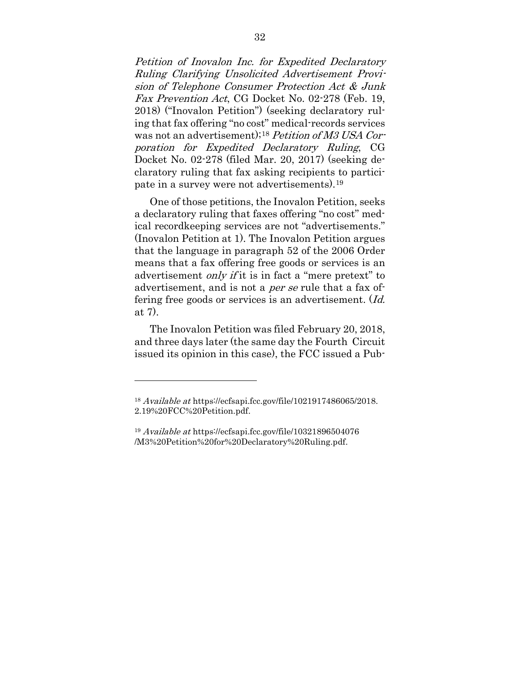Petition of Inovalon Inc. for Expedited Declaratory Ruling Clarifying Unsolicited Advertisement Provision of Telephone Consumer Protection Act & Junk Fax Prevention Act, CG Docket No. 02-278 (Feb. 19, 2018) ("Inovalon Petition") (seeking declaratory ruling that fax offering "no cost" medical-records services was not an advertisement);<sup>[18](#page-44-0)</sup> Petition of M3 USA Corporation for Expedited Declaratory Ruling, CG Docket No. 02-278 (filed Mar. 20, 2017) (seeking declaratory ruling that fax asking recipients to participate in a survey were not advertisements).[19](#page-44-1)

One of those petitions, the Inovalon Petition, seeks a declaratory ruling that faxes offering "no cost" medical recordkeeping services are not "advertisements." (Inovalon Petition at 1). The Inovalon Petition argues that the language in paragraph 52 of the 2006 Order means that a fax offering free goods or services is an advertisement *only if* it is in fact a "mere pretext" to advertisement, and is not a *per se* rule that a fax offering free goods or services is an advertisement. (Id. at 7).

The Inovalon Petition was filed February 20, 2018, and three days later (the same day the Fourth Circuit issued its opinion in this case), the FCC issued a Pub-

<span id="page-44-0"></span><sup>18</sup> Available at https://ecfsapi.fcc.gov/file/1021917486065/2018. 2.19%20FCC%20Petition.pdf.

<span id="page-44-1"></span><sup>19</sup> Available at https://ecfsapi.fcc.gov/file/10321896504076 /M3%20Petition%20for%20Declaratory%20Ruling.pdf.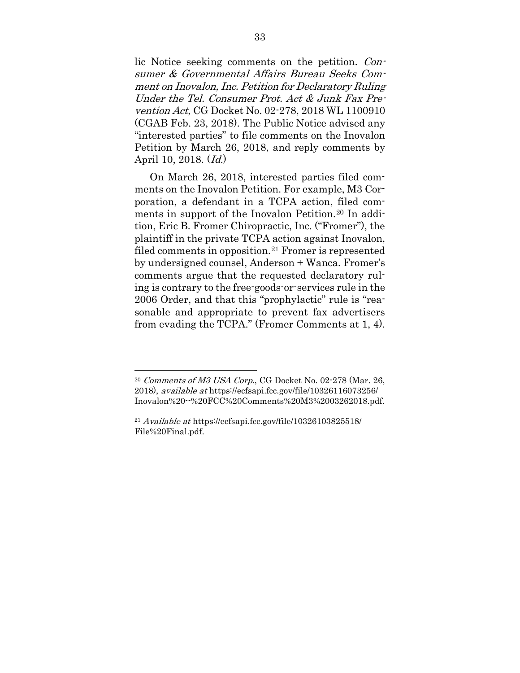lic Notice seeking comments on the petition. Consumer & Governmental Affairs Bureau Seeks Comment on Inovalon, Inc. Petition for Declaratory Ruling Under the Tel. Consumer Prot. Act & Junk Fax Prevention Act, CG Docket No. 02-278, 2018 WL 1100910 (CGAB Feb. 23, 2018). The Public Notice advised any "interested parties" to file comments on the Inovalon Petition by March 26, 2018, and reply comments by April 10, 2018. (Id.)

On March 26, 2018, interested parties filed comments on the Inovalon Petition. For example, M3 Corporation, a defendant in a TCPA action, filed com-ments in support of the Inovalon Petition.<sup>[20](#page-45-0)</sup> In addition, Eric B. Fromer Chiropractic, Inc. ("Fromer"), the plaintiff in the private TCPA action against Inovalon, filed comments in opposition[.21](#page-45-1) Fromer is represented by undersigned counsel, Anderson + Wanca. Fromer's comments argue that the requested declaratory ruling is contrary to the free-goods-or-services rule in the 2006 Order, and that this "prophylactic" rule is "reasonable and appropriate to prevent fax advertisers from evading the TCPA." (Fromer Comments at 1, 4).

<span id="page-45-0"></span> $20$  Comments of M3 USA Corp., CG Docket No. 02-278 (Mar. 26, 2018), available at https://ecfsapi.fcc.gov/file/10326116073256/ Inovalon%20--%20FCC%20Comments%20M3%2003262018.pdf.

<span id="page-45-1"></span> $^{21}$  Available at https://ecfsapi.fcc.gov/file/10326103825518/  $\,$ File%20Final.pdf.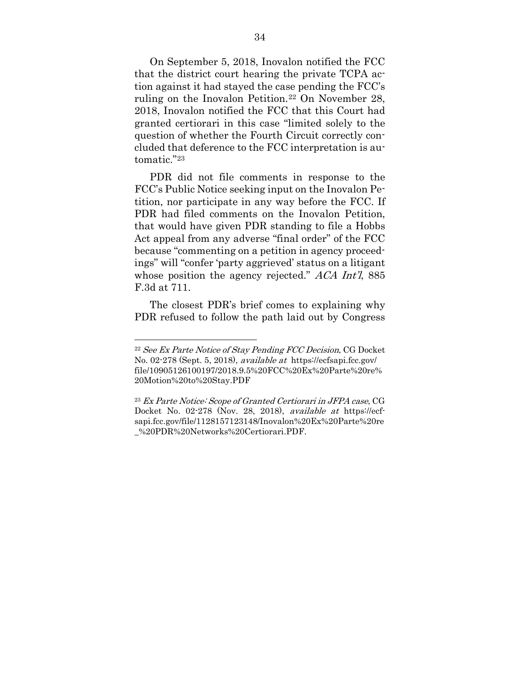On September 5, 2018, Inovalon notified the FCC that the district court hearing the private TCPA action against it had stayed the case pending the FCC's ruling on the Inovalon Petition.[22](#page-46-0) On November 28, 2018, Inovalon notified the FCC that this Court had granted certiorari in this case "limited solely to the question of whether the Fourth Circuit correctly concluded that deference to the FCC interpretation is automatic."[23](#page-46-1)

PDR did not file comments in response to the FCC's Public Notice seeking input on the Inovalon Petition, nor participate in any way before the FCC. If PDR had filed comments on the Inovalon Petition, that would have given PDR standing to file a Hobbs Act appeal from any adverse "final order" of the FCC because "commenting on a petition in agency proceedings" will "confer 'party aggrieved' status on a litigant whose position the agency rejected." ACA Int'l, 885 F.3d at 711.

The closest PDR's brief comes to explaining why PDR refused to follow the path laid out by Congress

<span id="page-46-0"></span><sup>&</sup>lt;sup>22</sup> See Ex Parte Notice of Stay Pending FCC Decision, CG Docket No. 02-278 (Sept. 5, 2018), available at https://ecfsapi.fcc.gov/ file/10905126100197/2018.9.5%20FCC%20Ex%20Parte%20re% 20Motion%20to%20Stay.PDF

<span id="page-46-1"></span><sup>23</sup> Ex Parte Notice: Scope of Granted Certiorari in JFPA case, CG Docket No. 02-278 (Nov. 28, 2018), available at https://ecfsapi.fcc.gov/file/1128157123148/Inovalon%20Ex%20Parte%20re \_%20PDR%20Networks%20Certiorari.PDF.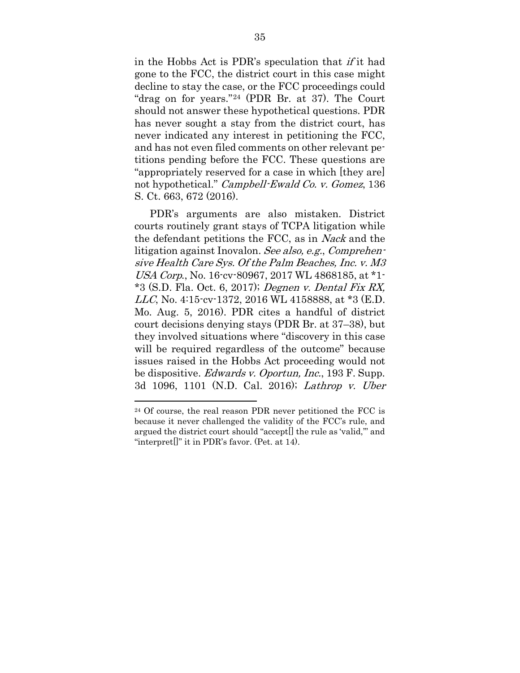in the Hobbs Act is PDR's speculation that if it had gone to the FCC, the district court in this case might decline to stay the case, or the FCC proceedings could "drag on for years."[24](#page-47-0) (PDR Br. at 37). The Court should not answer these hypothetical questions. PDR has never sought a stay from the district court, has never indicated any interest in petitioning the FCC, and has not even filed comments on other relevant petitions pending before the FCC. These questions are "appropriately reserved for a case in which [they are] not hypothetical." Campbell-Ewald Co. v. Gomez, 136 S. Ct. 663, 672 (2016).

PDR's arguments are also mistaken. District courts routinely grant stays of TCPA litigation while the defendant petitions the FCC, as in Nack and the litigation against Inovalon. See also, e.g., Comprehensive Health Care Sys. Of the Palm Beaches, Inc. v. M3 USA Corp., No. 16-cv-80967, 2017 WL 4868185, at \*1-  $*3$  (S.D. Fla. Oct. 6, 2017); Degnen v. Dental Fix RX, LLC, No. 4:15-cv-1372, 2016 WL 4158888, at \*3 (E.D. Mo. Aug. 5, 2016). PDR cites a handful of district court decisions denying stays (PDR Br. at 37–38), but they involved situations where "discovery in this case will be required regardless of the outcome" because issues raised in the Hobbs Act proceeding would not be dispositive. Edwards v. Oportun, Inc., 193 F. Supp. 3d 1096, 1101 (N.D. Cal. 2016); Lathrop v. Uber

<span id="page-47-0"></span><sup>24</sup> Of course, the real reason PDR never petitioned the FCC is because it never challenged the validity of the FCC's rule, and argued the district court should "accept[] the rule as 'valid,'" and "interpret[]" it in PDR's favor. (Pet. at 14).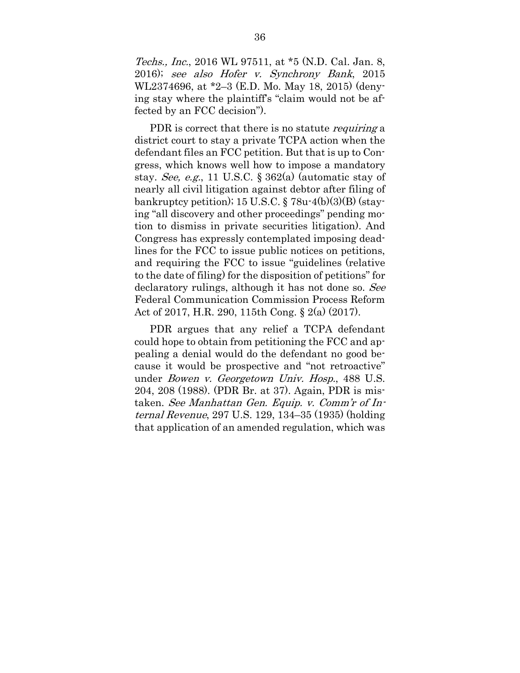Techs., Inc., 2016 WL 97511, at \*5 (N.D. Cal. Jan. 8, 2016); see also Hofer v. Synchrony Bank, 2015 WL2374696, at \*2–3 (E.D. Mo. May 18, 2015) (denying stay where the plaintiff's "claim would not be affected by an FCC decision").

PDR is correct that there is no statute *requiring* a district court to stay a private TCPA action when the defendant files an FCC petition. But that is up to Congress, which knows well how to impose a mandatory stay. See, e.g., 11 U.S.C.  $\S 362(a)$  (automatic stay of nearly all civil litigation against debtor after filing of bankruptcy petition); 15 U.S.C.  $\S$  78u-4(b)(3)(B) (staying "all discovery and other proceedings" pending motion to dismiss in private securities litigation). And Congress has expressly contemplated imposing deadlines for the FCC to issue public notices on petitions, and requiring the FCC to issue "guidelines (relative to the date of filing) for the disposition of petitions" for declaratory rulings, although it has not done so. See Federal Communication Commission Process Reform Act of 2017, H.R. 290, 115th Cong. § 2(a) (2017).

PDR argues that any relief a TCPA defendant could hope to obtain from petitioning the FCC and appealing a denial would do the defendant no good because it would be prospective and "not retroactive" under Bowen v. Georgetown Univ. Hosp., 488 U.S. 204, 208 (1988). (PDR Br. at 37). Again, PDR is mistaken. See Manhattan Gen. Equip. v. Comm'r of Internal Revenue, 297 U.S. 129, 134–35 (1935) (holding that application of an amended regulation, which was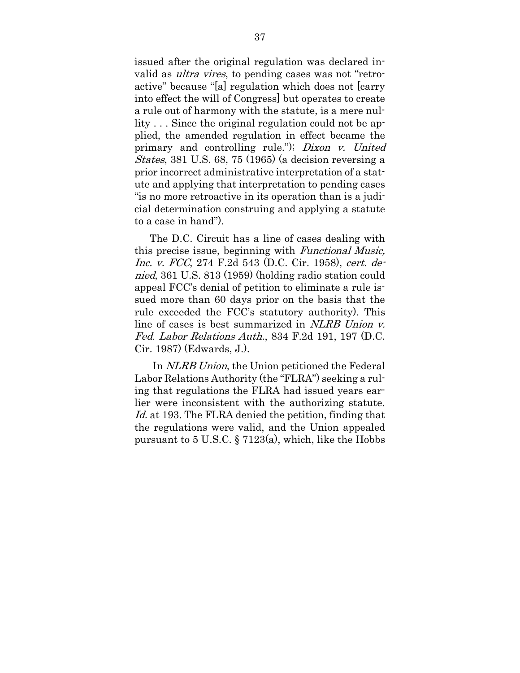issued after the original regulation was declared invalid as *ultra vires*, to pending cases was not "retroactive" because "[a] regulation which does not [carry into effect the will of Congress] but operates to create a rule out of harmony with the statute, is a mere nullity . . . Since the original regulation could not be applied, the amended regulation in effect became the primary and controlling rule."); Dixon v. United States, 381 U.S. 68, 75 (1965) (a decision reversing a prior incorrect administrative interpretation of a statute and applying that interpretation to pending cases "is no more retroactive in its operation than is a judicial determination construing and applying a statute to a case in hand").

The D.C. Circuit has a line of cases dealing with this precise issue, beginning with Functional Music, Inc. v. FCC, 274 F.2d 543 (D.C. Cir. 1958), cert. denied, 361 U.S. 813 (1959) (holding radio station could appeal FCC's denial of petition to eliminate a rule issued more than 60 days prior on the basis that the rule exceeded the FCC's statutory authority). This line of cases is best summarized in NLRB Union v. Fed. Labor Relations Auth., 834 F.2d 191, 197 (D.C. Cir. 1987) (Edwards, J.).

In NLRB Union, the Union petitioned the Federal Labor Relations Authority (the "FLRA") seeking a ruling that regulations the FLRA had issued years earlier were inconsistent with the authorizing statute. Id. at 193. The FLRA denied the petition, finding that the regulations were valid, and the Union appealed pursuant to 5 U.S.C. § 7123(a), which, like the Hobbs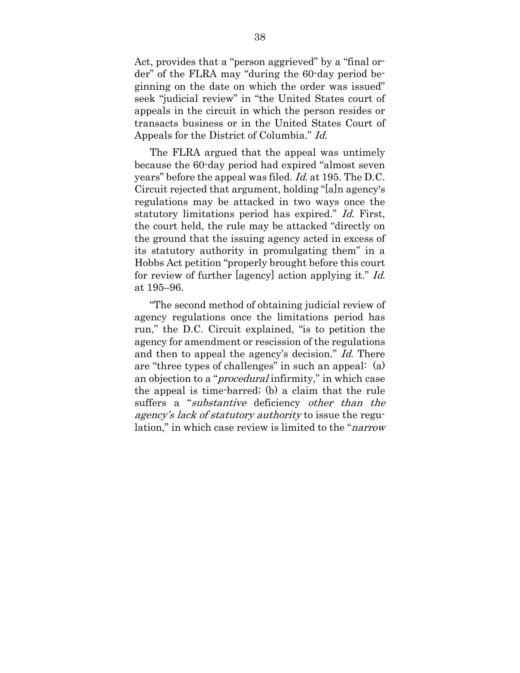Act, provides that a "person aggrieved" by a "final order" of the FLRA may "during the 60-day period beginning on the date on which the order was issued" seek "judicial review" in "the United States court of appeals in the circuit in which the person resides or transacts business or in the United States Court of Appeals for the District of Columbia." Id.

The FLRA argued that the appeal was untimely because the 60-day period had expired "almost seven years" before the appeal was filed. Id. at 195. The D.C. Circuit rejected that argument, holding "[a]n agency's regulations may be attacked in two ways once the statutory limitations period has expired." Id. First, the court held, the rule may be attacked "directly on the ground that the issuing agency acted in excess of its statutory authority in promulgating them" in a Hobbs Act petition "properly brought before this court for review of further [agency] action applying it." Id. at 195–96.

"The second method of obtaining judicial review of agency regulations once the limitations period has run," the D.C. Circuit explained, "is to petition the agency for amendment or rescission of the regulations and then to appeal the agency's decision." Id. There are "three types of challenges" in such an appeal: (a) an objection to a "*procedural* infirmity," in which case the appeal is time-barred; (b) a claim that the rule suffers a "substantive deficiency other than the agency's lack of statutory authority to issue the regulation," in which case review is limited to the "*narrow*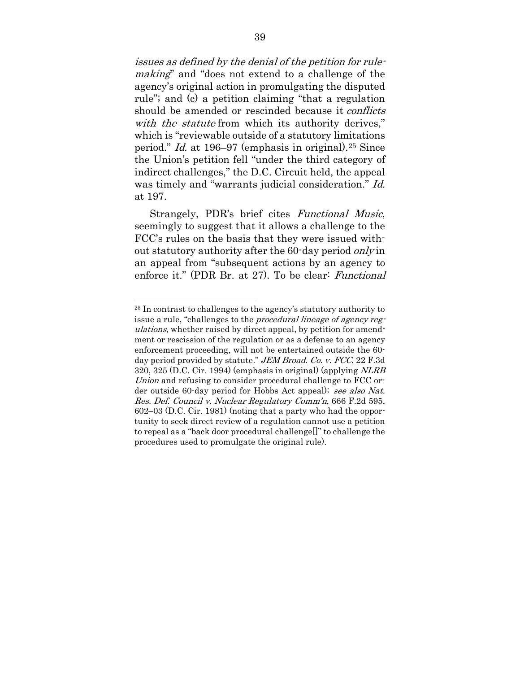issues as defined by the denial of the petition for rulemaking" and "does not extend to a challenge of the agency's original action in promulgating the disputed rule"; and (c) a petition claiming "that a regulation should be amended or rescinded because it *conflicts* with the statute from which its authority derives," which is "reviewable outside of a statutory limitations period." Id. at 196–97 (emphasis in original).[25](#page-51-0) Since the Union's petition fell "under the third category of indirect challenges," the D.C. Circuit held, the appeal was timely and "warrants judicial consideration." Id. at 197.

Strangely, PDR's brief cites Functional Music, seemingly to suggest that it allows a challenge to the FCC's rules on the basis that they were issued without statutory authority after the 60-day period only in an appeal from "subsequent actions by an agency to enforce it." (PDR Br. at 27). To be clear: Functional

<span id="page-51-0"></span><sup>25</sup> In contrast to challenges to the agency's statutory authority to issue a rule, "challenges to the procedural lineage of agency regulations, whether raised by direct appeal, by petition for amendment or rescission of the regulation or as a defense to an agency enforcement proceeding, will not be entertained outside the 60 day period provided by statute." JEM Broad. Co. v. FCC, 22 F.3d 320, 325 (D.C. Cir. 1994) (emphasis in original) (applying NLRB Union and refusing to consider procedural challenge to FCC order outside 60-day period for Hobbs Act appeal); see also Nat. Res. Def. Council v. Nuclear Regulatory Comm'n, 666 F.2d 595, 602–03 (D.C. Cir. 1981) (noting that a party who had the opportunity to seek direct review of a regulation cannot use a petition to repeal as a "back door procedural challenge[]" to challenge the procedures used to promulgate the original rule).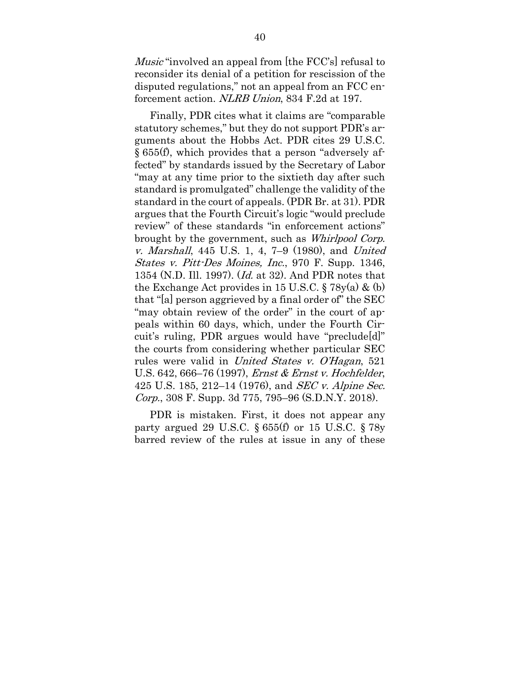Music "involved an appeal from [the FCC's] refusal to reconsider its denial of a petition for rescission of the disputed regulations," not an appeal from an FCC enforcement action. NLRB Union, 834 F.2d at 197.

Finally, PDR cites what it claims are "comparable statutory schemes," but they do not support PDR's arguments about the Hobbs Act. PDR cites 29 U.S.C. § 655(f), which provides that a person "adversely affected" by standards issued by the Secretary of Labor "may at any time prior to the sixtieth day after such standard is promulgated" challenge the validity of the standard in the court of appeals. (PDR Br. at 31). PDR argues that the Fourth Circuit's logic "would preclude review" of these standards "in enforcement actions" brought by the government, such as Whirlpool Corp. v. Marshall, 445 U.S. 1, 4, 7–9 (1980), and United States v. Pitt-Des Moines, Inc., 970 F. Supp. 1346, 1354 (N.D. Ill. 1997). (Id. at 32). And PDR notes that the Exchange Act provides in 15 U.S.C.  $\S 78y(a) \& (b)$ that "[a] person aggrieved by a final order of" the SEC "may obtain review of the order" in the court of appeals within 60 days, which, under the Fourth Circuit's ruling, PDR argues would have "preclude[d]" the courts from considering whether particular SEC rules were valid in United States v. O'Hagan, 521 U.S. 642, 666–76 (1997), Ernst & Ernst v. Hochfelder, 425 U.S. 185, 212–14 (1976), and *SEC v. Alpine Sec.* Corp., 308 F. Supp. 3d 775, 795–96 (S.D.N.Y. 2018).

PDR is mistaken. First, it does not appear any party argued 29 U.S.C. § 655(f) or 15 U.S.C. § 78y barred review of the rules at issue in any of these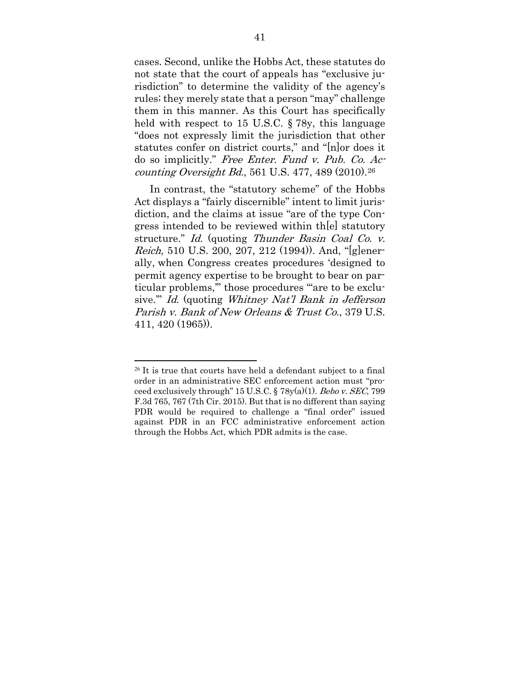cases. Second, unlike the Hobbs Act, these statutes do not state that the court of appeals has "exclusive jurisdiction" to determine the validity of the agency's rules; they merely state that a person "may" challenge them in this manner. As this Court has specifically held with respect to 15 U.S.C. § 78y, this language "does not expressly limit the jurisdiction that other statutes confer on district courts," and "[n]or does it do so implicitly." Free Enter. Fund v. Pub. Co. Accounting Oversight Bd., 561 U.S. 477, 489  $(2010).^{26}$ 

In contrast, the "statutory scheme" of the Hobbs Act displays a "fairly discernible" intent to limit jurisdiction, and the claims at issue "are of the type Congress intended to be reviewed within th[e] statutory structure." Id. (quoting Thunder Basin Coal Co. v. Reich, 510 U.S. 200, 207, 212 (1994)). And, "[g]enerally, when Congress creates procedures 'designed to permit agency expertise to be brought to bear on particular problems," those procedures "are to be exclusive.'" Id. (quoting Whitney Nat'l Bank in Jefferson Parish v. Bank of New Orleans & Trust Co., 379 U.S. 411, 420 (1965)).

<span id="page-53-0"></span> $26$  It is true that courts have held a defendant subject to a final order in an administrative SEC enforcement action must "proceed exclusively through" 15 U.S.C.  $\S 78y(a)(1)$ . Bebo v. SEC, 799 F.3d 765, 767 (7th Cir. 2015). But that is no different than saying PDR would be required to challenge a "final order" issued against PDR in an FCC administrative enforcement action through the Hobbs Act, which PDR admits is the case.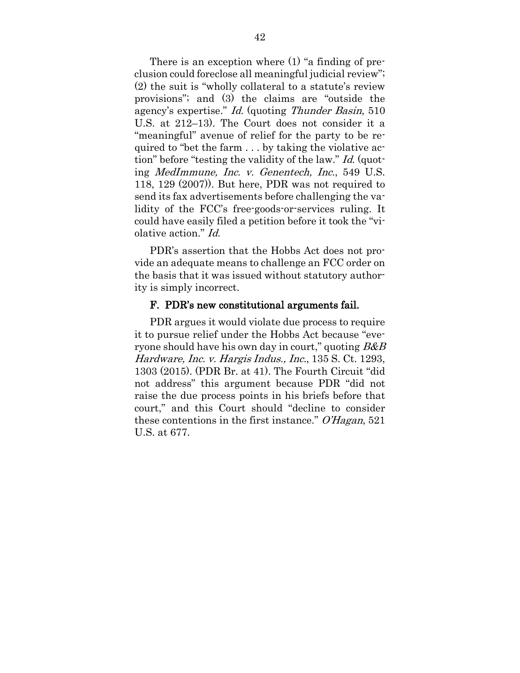There is an exception where (1) "a finding of preclusion could foreclose all meaningful judicial review"; (2) the suit is "wholly collateral to a statute's review provisions"; and (3) the claims are "outside the agency's expertise." Id. (quoting Thunder Basin, 510 U.S. at 212–13). The Court does not consider it a "meaningful" avenue of relief for the party to be required to "bet the farm . . . by taking the violative action" before "testing the validity of the law." Id. (quoting MedImmune, Inc. v. Genentech, Inc., 549 U.S. 118, 129 (2007)). But here, PDR was not required to send its fax advertisements before challenging the validity of the FCC's free-goods-or-services ruling. It could have easily filed a petition before it took the "violative action." Id.

PDR's assertion that the Hobbs Act does not provide an adequate means to challenge an FCC order on the basis that it was issued without statutory authority is simply incorrect.

#### F. PDR's new constitutional arguments fail.

PDR argues it would violate due process to require it to pursue relief under the Hobbs Act because "everyone should have his own day in court," quoting  $B\&B$ Hardware, Inc. v. Hargis Indus., Inc., 135 S. Ct. 1293, 1303 (2015). (PDR Br. at 41). The Fourth Circuit "did not address" this argument because PDR "did not raise the due process points in his briefs before that court," and this Court should "decline to consider these contentions in the first instance." O'Hagan, 521 U.S. at 677.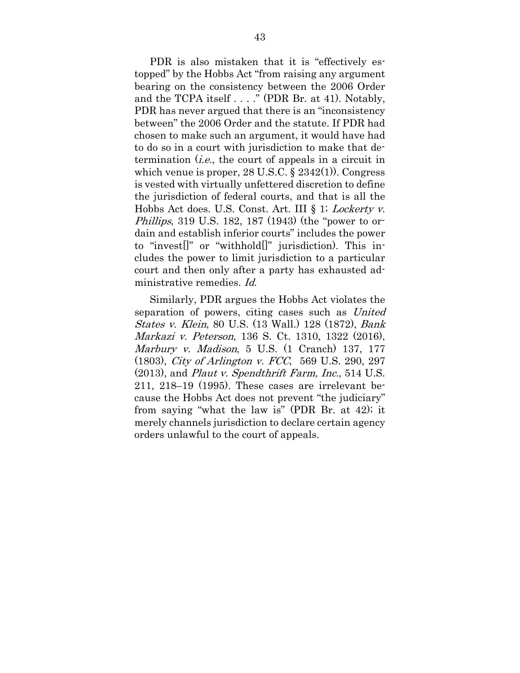PDR is also mistaken that it is "effectively estopped" by the Hobbs Act "from raising any argument bearing on the consistency between the 2006 Order and the TCPA itself . . . ." (PDR Br. at 41). Notably, PDR has never argued that there is an "inconsistency between" the 2006 Order and the statute. If PDR had chosen to make such an argument, it would have had to do so in a court with jurisdiction to make that determination  $(i.e.,$  the court of appeals in a circuit in which venue is proper, 28 U.S.C. § 2342(1)). Congress is vested with virtually unfettered discretion to define the jurisdiction of federal courts, and that is all the Hobbs Act does. U.S. Const. Art. III § 1; *Lockerty v.* Phillips, 319 U.S. 182, 187 (1943) (the "power to ordain and establish inferior courts" includes the power to "invest[]" or "withhold[]" jurisdiction). This includes the power to limit jurisdiction to a particular court and then only after a party has exhausted administrative remedies. Id.

Similarly, PDR argues the Hobbs Act violates the separation of powers, citing cases such as United States v. Klein, 80 U.S. (13 Wall.) 128 (1872), Bank Markazi v. Peterson, 136 S. Ct. 1310, 1322 (2016), Marbury v. Madison, 5 U.S. (1 Cranch) 137, 177 (1803), City of Arlington v. FCC, 569 U.S. 290, 297 (2013), and Plaut v. Spendthrift Farm, Inc., 514 U.S. 211, 218–19 (1995). These cases are irrelevant because the Hobbs Act does not prevent "the judiciary" from saying "what the law is" (PDR Br. at 42); it merely channels jurisdiction to declare certain agency orders unlawful to the court of appeals.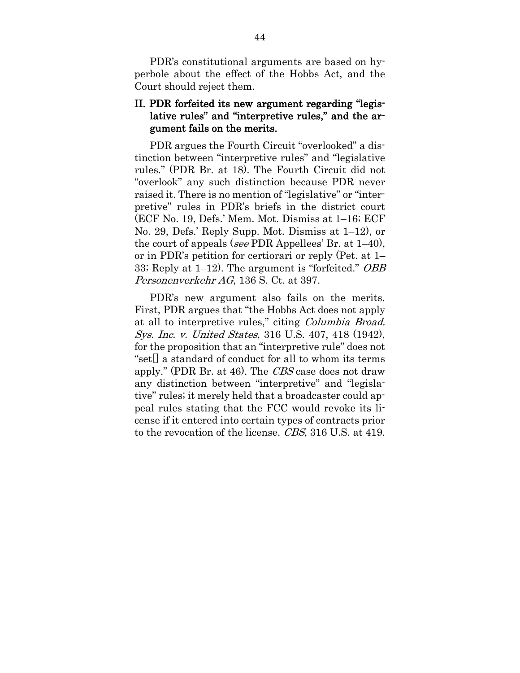PDR's constitutional arguments are based on hyperbole about the effect of the Hobbs Act, and the Court should reject them.

### II. PDR forfeited its new argument regarding "legislative rules" and "interpretive rules," and the argument fails on the merits.

PDR argues the Fourth Circuit "overlooked" a distinction between "interpretive rules" and "legislative rules." (PDR Br. at 18). The Fourth Circuit did not "overlook" any such distinction because PDR never raised it. There is no mention of "legislative" or "interpretive" rules in PDR's briefs in the district court (ECF No. 19, Defs.' Mem. Mot. Dismiss at 1–16; ECF No. 29, Defs.' Reply Supp. Mot. Dismiss at 1–12), or the court of appeals (see PDR Appellees' Br. at 1–40), or in PDR's petition for certiorari or reply (Pet. at 1– 33; Reply at 1–12). The argument is "forfeited." OBB Personenverkehr AG, 136 S. Ct. at 397.

PDR's new argument also fails on the merits. First, PDR argues that "the Hobbs Act does not apply at all to interpretive rules," citing Columbia Broad. Sys. Inc. v. United States, 316 U.S. 407, 418 (1942), for the proposition that an "interpretive rule" does not "set[] a standard of conduct for all to whom its terms apply." (PDR Br. at 46). The CBS case does not draw any distinction between "interpretive" and "legislative" rules; it merely held that a broadcaster could appeal rules stating that the FCC would revoke its license if it entered into certain types of contracts prior to the revocation of the license. CBS, 316 U.S. at 419.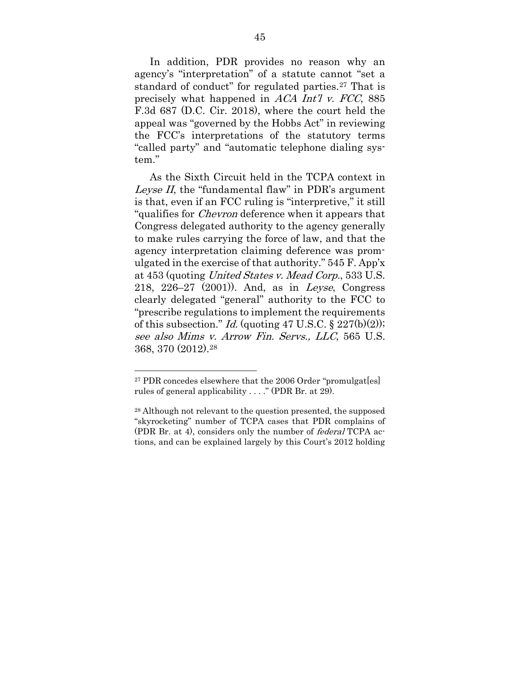In addition, PDR provides no reason why an agency's "interpretation" of a statute cannot "set a standard of conduct" for regulated parties.[27](#page-57-0) That is precisely what happened in ACA Int'l v. FCC, 885 F.3d 687 (D.C. Cir. 2018), where the court held the appeal was "governed by the Hobbs Act" in reviewing the FCC's interpretations of the statutory terms "called party" and "automatic telephone dialing system."

As the Sixth Circuit held in the TCPA context in Leyse II, the "fundamental flaw" in PDR's argument is that, even if an FCC ruling is "interpretive," it still "qualifies for Chevron deference when it appears that Congress delegated authority to the agency generally to make rules carrying the force of law, and that the agency interpretation claiming deference was promulgated in the exercise of that authority." 545 F. App'x at 453 (quoting United States v. Mead Corp., 533 U.S. 218, 226–27 (2001)). And, as in Leyse, Congress clearly delegated "general" authority to the FCC to "prescribe regulations to implement the requirements of this subsection." Id. (quoting 47 U.S.C.  $\S 227(b)(2)$ ); see also Mims v. Arrow Fin. Servs., LLC, 565 U.S. 368, 370 (2012).[28](#page-57-1)

<span id="page-57-0"></span><sup>&</sup>lt;sup>27</sup> PDR concedes elsewhere that the 2006 Order "promulgat[es] rules of general applicability . . . ." (PDR Br. at 29).

<span id="page-57-1"></span><sup>28</sup> Although not relevant to the question presented, the supposed "skyrocketing" number of TCPA cases that PDR complains of (PDR Br. at 4), considers only the number of federal TCPA actions, and can be explained largely by this Court's 2012 holding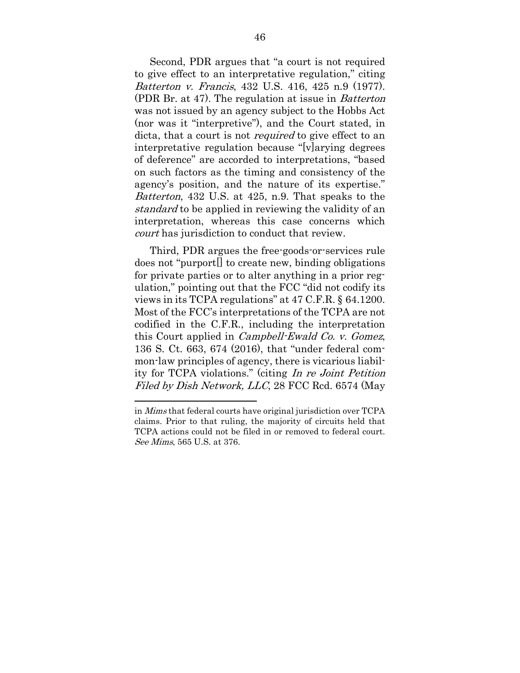Second, PDR argues that "a court is not required to give effect to an interpretative regulation," citing Batterton v. Francis, 432 U.S. 416, 425 n.9 (1977). (PDR Br. at 47). The regulation at issue in Batterton was not issued by an agency subject to the Hobbs Act (nor was it "interpretive"), and the Court stated, in dicta, that a court is not *required* to give effect to an interpretative regulation because "[v]arying degrees of deference" are accorded to interpretations, "based on such factors as the timing and consistency of the agency's position, and the nature of its expertise." Batterton, 432 U.S. at 425, n.9. That speaks to the standard to be applied in reviewing the validity of an interpretation, whereas this case concerns which court has jurisdiction to conduct that review.

Third, PDR argues the free-goods-or-services rule does not "purport[] to create new, binding obligations for private parties or to alter anything in a prior regulation," pointing out that the FCC "did not codify its views in its TCPA regulations" at 47 C.F.R. § 64.1200. Most of the FCC's interpretations of the TCPA are not codified in the C.F.R., including the interpretation this Court applied in Campbell-Ewald Co. v. Gomez, 136 S. Ct. 663, 674 (2016), that "under federal common-law principles of agency, there is vicarious liability for TCPA violations." (citing In re Joint Petition Filed by Dish Network, LLC, 28 FCC Rcd. 6574 (May

in Mims that federal courts have original jurisdiction over TCPA claims. Prior to that ruling, the majority of circuits held that TCPA actions could not be filed in or removed to federal court. See Mims, 565 U.S. at 376.